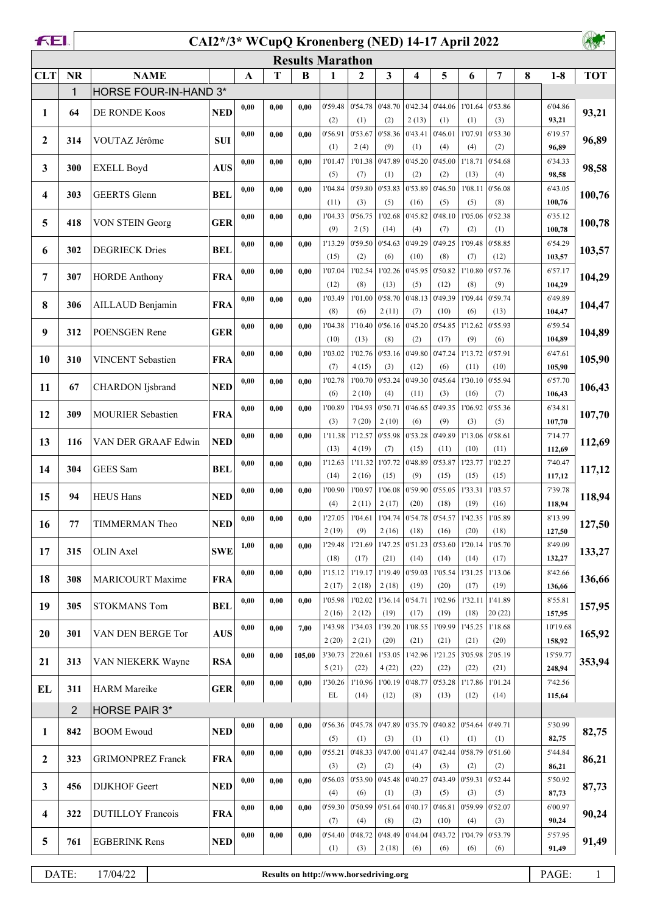|              | FEI.<br>CAI2*/3* WCupQ Kronenberg (NED) 14-17 April 2022 |                          |             |             |                    |                         |                                  |                  |                                  |                                                                             |                 |                 |                 |   |                                           |            |
|--------------|----------------------------------------------------------|--------------------------|-------------|-------------|--------------------|-------------------------|----------------------------------|------------------|----------------------------------|-----------------------------------------------------------------------------|-----------------|-----------------|-----------------|---|-------------------------------------------|------------|
|              |                                                          |                          |             |             |                    | <b>Results Marathon</b> |                                  |                  |                                  |                                                                             |                 |                 |                 |   |                                           |            |
| <b>CLT</b>   | <b>NR</b>                                                | <b>NAME</b>              |             | $\mathbf A$ | T                  | B                       | 1                                | 2                | $\overline{\mathbf{3}}$          | 4                                                                           | 5               | 6               | 7               | 8 | $1-8$                                     | <b>TOT</b> |
|              | 1                                                        | HORSE FOUR-IN-HAND 3*    |             |             |                    |                         |                                  |                  |                                  |                                                                             |                 |                 |                 |   |                                           |            |
| 1            | 64                                                       | DE RONDE Koos            | <b>NED</b>  | 0,00        | 0,00               | 0.00                    | 0'59.48<br>(2)                   | 0'54.78<br>(1)   | (2)                              | $\vert$ 0'48.70 $\vert$ 0'42.34<br>2(13)                                    | 0'44.06<br>(1)  | 1'01.64<br>(1)  | 0'53.86<br>(3)  |   | 6'04.86<br>93,21                          | 93,21      |
|              |                                                          |                          |             | 0,00        | 0,00               | 0.00                    | 0'56.91                          | 0'53.67          | 0'58.36                          | 0'43.41                                                                     | 0'46.01         | 1'07.91         | 0'53.30         |   | 6'19.57                                   |            |
| $\mathbf{2}$ | 314                                                      | VOUTAZ Jérôme            | <b>SUI</b>  |             |                    |                         | (1)                              | 2(4)             | (9)                              | (1)                                                                         | (4)             | (4)             | (2)             |   | 96,89                                     | 96,89      |
| 3            | 300                                                      | <b>EXELL Boyd</b>        | <b>AUS</b>  | 0,00        | 0,00               | 0.00                    | 1'01.47                          | 1'01.38          | 0'47.89                          | 0'45.20                                                                     | 0'45.00         | 1'18.71         | 0'54.68         |   | 6'34.33                                   | 98,58      |
|              |                                                          |                          |             | 0,00        | 0,00               | 0.00                    | (5)<br>1'04.84                   | (7)<br>0'59.80   | (1)<br>0'53.83                   | (2)<br>0'53.89                                                              | (2)<br>0'46.50  | (13)<br>1'08.11 | (4)<br>0'56.08  |   | 98,58<br>6'43.05                          |            |
| 4            | 303                                                      | <b>GEERTS</b> Glenn      | <b>BEL</b>  |             |                    |                         | (11)                             | (3)              | (5)                              | (16)                                                                        | (5)             | (5)             | (8)             |   | 100,76                                    | 100,76     |
| 5            | 418                                                      | VON STEIN Georg          | <b>GER</b>  | 0,00        | 0.00               | 0.00                    | 1'04.33                          | 0'56.75          | 1'02.68                          | 0'45.82                                                                     | 0'48.10         | 1'05.06         | 0'52.38         |   | 6'35.12                                   | 100,78     |
|              |                                                          |                          |             |             |                    |                         | (9)                              | 2(5)             | (14)                             | (4)                                                                         | (7)             | (2)             | (1)             |   | 100,78                                    |            |
| 6            | 302                                                      | <b>DEGRIECK Dries</b>    | <b>BEL</b>  | 0,00        | 0,00               | 0.00                    | 1'13.29<br>(15)                  | 0'59.50<br>(2)   | 0'54.63<br>(6)                   | 0'49.29<br>(10)                                                             | 0'49.25<br>(8)  | 1'09.48<br>(7)  | 0'58.85<br>(12) |   | 6'54.29<br>103,57                         | 103,57     |
|              |                                                          |                          |             | 0,00        | 0,00               | 0.00                    | 1'07.04                          | 1'02.54          | 1'02.26                          | 0'45.95                                                                     | 0'50.82         | 1'10.80         | 0'57.76         |   | 6'57.17                                   |            |
| 7            | 307                                                      | <b>HORDE Anthony</b>     | <b>FRA</b>  |             |                    |                         | (12)                             | (8)              | (13)                             | (5)                                                                         | (12)            | (8)             | (9)             |   | 104,29                                    | 104,29     |
| 8            | 306                                                      | AILLAUD Benjamin         | <b>FRA</b>  | 0,00        | 0,00               | 0.00                    | 1'03.49                          | 1'01.00          | 0'58.70                          | 0'48.13                                                                     | 0'49.39         | 1'09.44         | 0'59.74         |   | 6'49.89                                   | 104,47     |
|              |                                                          |                          |             | 0,00        | 0,00               | 0.00                    | (8)<br>1'04.38                   | (6)<br>1'10.40   | 2(11)<br>0'56.16                 | (7)<br>0'45.20                                                              | (10)<br>0'54.85 | (6)<br>1'12.62  | (13)<br>0'55.93 |   | 104,47<br>6'59.54                         |            |
| 9            | 312                                                      | POENSGEN Rene            | <b>GER</b>  |             |                    |                         | (10)                             | (13)             | (8)                              | (2)                                                                         | (17)            | (9)             | (6)             |   | 104,89                                    | 104,89     |
| 10           | 310                                                      | <b>VINCENT</b> Sebastien | <b>FRA</b>  | 0,00        | 0,00               | 0.00                    | 1'03.02                          | 1'02.76          | 0'53.16                          | 0'49.80                                                                     | 0'47.24         | 1'13.72         | 0'57.91         |   | 6'47.61                                   | 105,90     |
|              |                                                          |                          |             |             |                    |                         | (7)                              | 4(15)            | (3)                              | (12)                                                                        | (6)             | (11)            | (10)            |   | 105,90                                    |            |
| 11           | 67                                                       | <b>CHARDON</b> Ijsbrand  | <b>NED</b>  | 0,00        | 0,00               | 0,00                    | 1'02.78<br>(6)                   | 1'00.70<br>2(10) | 0'53.24<br>(4)                   | 0'49.30<br>(11)                                                             | 0'45.64<br>(3)  | 1'30.10<br>(16) | 0'55.94<br>(7)  |   | 6'57.70<br>106,43                         | 106,43     |
|              |                                                          |                          |             | 0,00        | 0,00               | 0.00                    | 1'00.89                          | 1'04.93          | 0'50.71                          | 0'46.65                                                                     | 0'49.35         | 1'06.92         | 0'55.36         |   | 6'34.81                                   |            |
| 12           | 309                                                      | <b>MOURIER Sebastien</b> | <b>FRA</b>  |             |                    |                         | (3)                              | 7(20)            | 2(10)                            | (6)                                                                         | (9)             | (3)             | (5)             |   | 107,70                                    | 107,70     |
| 13           | 116                                                      | VAN DER GRAAF Edwin      | <b>NED</b>  | 0,00        | 0,00               | 0.00                    | 1'11.38                          | 1'12.57          | 0'55.98                          | 0'53.28                                                                     | 0'49.89         | 1'13.06         | 0'58.61         |   | 7'14.77                                   | 112,69     |
|              |                                                          |                          |             |             |                    |                         | (13)                             | 4(19)<br>1'11.32 | (7)<br>1'07.72                   | (15)<br>0'48.89                                                             | (11)<br>0'53.87 | (10)<br>1'23.77 | (11)<br>1'02.27 |   | 112,69<br>7'40.47                         |            |
| 14           | 304                                                      | GEES Sam                 | <b>BEL</b>  | 0,00        | 0,00               | 0.00                    | 1'12.63<br>(14)                  | 2(16)            | (15)                             | (9)                                                                         | (15)            | (15)            | (15)            |   | 117,12                                    | 117,12     |
| 15           | 94                                                       | <b>HEUS Hans</b>         | <b>NED</b>  | 0,00        | 0,00               | 0.00                    | 1'00.90                          | 1'00.97          | 1'06.08                          | 0'59.90                                                                     | 0'55.05         | 1'33.31         | 1'03.57         |   | 7'39.78                                   | 118,94     |
|              |                                                          |                          |             |             |                    |                         | (4)                              | 2(11)            | 2(17)                            | (20)                                                                        | (18)            | (19)            | (16)            |   | 118,94                                    |            |
| 16           | 77                                                       | TIMMERMAN Theo           | <b>NED</b>  | 0,00        | 0,00               | 0,00                    | 2(19)                            | (9)              | 2(16)                            | 1'27.05   1'04.61   1'04.74   0'54.78   0'54.57   1'42.35   1'05.89<br>(18) | (16)            | (20)            | (18)            |   | 8'13.99<br>127,50                         | 127,50     |
|              |                                                          |                          |             | 1,00        | 0.00               | 0.00                    | 1'29.48                          | 1'21.69          |                                  | 1'47.25 0'51.23                                                             | 0'53.60         | 1'20.14         | 1'05.70         |   | 8'49.09                                   |            |
| 17           | 315                                                      | <b>OLIN</b> Axel         | ${\bf SWE}$ |             |                    |                         | (18)                             | (17)             | (21)                             | (14)                                                                        | (14)            | (14)            | (17)            |   | 132,27                                    | 133,27     |
| 18           | 308                                                      | <b>MARICOURT Maxime</b>  | <b>FRA</b>  | 0,00        | 0,00               | 0.00                    | 1'15.12                          | 1'19.17          | 1'19.49                          | 0'59.03                                                                     | 1'05.54         | 1'31.25         | 1'13.06         |   | 8'42.66                                   | 136,66     |
|              |                                                          |                          |             |             |                    | 0.00                    | 2(17)<br>1'05.98                 | 2(18)<br>1'02.02 | 2(18)<br>1'36.14                 | (19)<br>0'54.71                                                             | (20)<br>1'02.96 | (17)<br>1'32.11 | (19)<br>1'41.89 |   | 136,66<br>8'55.81                         |            |
| 19           | 305                                                      | <b>STOKMANS Tom</b>      | <b>BEL</b>  | 0,00        | 0,00               |                         | 2(16)                            | 2(12)            | (19)                             | (17)                                                                        | (19)            | (18)            | 20(22)          |   | 157,95                                    | 157,95     |
| 20           | 301                                                      | VAN DEN BERGE Tor        | <b>AUS</b>  | 0,00        | 0,00               | 7,00                    | 1'43.98                          | 1'34.03          | 1'39.20                          | 1'08.55                                                                     | 1'09.99         | 1'45.25         | 1'18.68         |   | 10'19.68                                  | 165,92     |
|              |                                                          |                          |             |             |                    |                         | 2(20)                            | 2(21)            | (20)                             | (21)                                                                        | (21)            | (21)            | (20)            |   | 158,92                                    |            |
| 21           | 313                                                      | VAN NIEKERK Wayne        | <b>RSA</b>  | 0,00        | 0,00               | 105,00                  | 3'30.73<br>5(21)                 | 2'20.61<br>(22)  | 1'53.05<br>4(22)                 | 1'42.96<br>(22)                                                             | 1'21.25<br>(22) | 3'05.98<br>(22) | 2'05.19<br>(21) |   | 15'59.77<br>248,94                        | 353,94     |
|              |                                                          |                          |             | 0,00        | 0,00               | 0.00                    | 1'30.26                          | 1'10.96          | 1'00.19                          | 0'48.77                                                                     | 0'53.28         | 1'17.86         | 1'01.24         |   | 7'42.56                                   |            |
| EL           | 311                                                      | <b>HARM</b> Mareike      | <b>GER</b>  |             |                    |                         | EL                               | (14)             | (12)                             | (8)                                                                         | (13)            | (12)            | (14)            |   | 115,64                                    |            |
|              | $\overline{2}$                                           | HORSE PAIR 3*            |             |             |                    |                         |                                  |                  |                                  |                                                                             |                 |                 |                 |   |                                           |            |
| 1            | 842                                                      | <b>BOOM Ewoud</b>        | <b>NED</b>  | 0,00        | 0,00               | 0.00                    | (5)                              | (1)              | $0'56.36$ 0'45.78 0'47.89<br>(3) | 0'35.79<br>(1)                                                              | 0'40.82<br>(1)  | 0'54.64<br>(1)  | 0'49.71<br>(1)  |   | 5'30.99<br>82,75                          | 82,75      |
|              |                                                          |                          |             | 0,00        | 0,00               | 0,00                    | 0'55.21                          | 0'48.33          | 0'47.00                          | 0'41.47                                                                     | 0'42.44         | 0'58.79         | 0'51.60         |   | 5'44.84                                   |            |
| $\mathbf{2}$ | 323                                                      | <b>GRIMONPREZ Franck</b> | <b>FRA</b>  |             |                    |                         | (3)                              | (2)              | (2)                              | (4)                                                                         | (3)             | (2)             | (2)             |   | 86,21                                     | 86,21      |
| 3            | 456                                                      | DIJKHOF Geert            | <b>NED</b>  | 0,00        | 0,00               | 0.00                    | 0'56.03                          | 0'53.90          | 0'45.48                          | 0'40.27                                                                     | 0'43.49         | 0'59.31         | 0'52.44         |   | 5'50.92                                   | 87,73      |
|              |                                                          |                          |             |             |                    |                         | (4)<br>0'59.30                   | (6)<br>0'50.99   | (1)<br>0'51.64                   | (3)<br>0'40.17                                                              | (5)<br>0'46.81  | (3)<br>0'59.99  | (5)<br>0'52.07  |   | 87,73<br>6'00.97                          |            |
| 4            | 322                                                      | <b>DUTILLOY Francois</b> | <b>FRA</b>  | 0,00        | 0,00               | 0.00                    | (7)                              | (4)              | (8)                              | (2)                                                                         | (10)            | (4)             | (3)             |   | 90,24                                     | 90,24      |
| 5            | 761                                                      | <b>EGBERINK Rens</b>     | <b>NED</b>  | 0,00        | 0,00               | 0,00                    | 0'54.40                          | 0'48.72          | 0'48.49                          | 0'44.04                                                                     | 0'43.72         | 1'04.79         | 0'53.79         |   | 5'57.95                                   | 91,49      |
|              |                                                          |                          |             |             |                    |                         | (1)                              | (3)              | 2(18)                            | (6)                                                                         | (6)             | (6)             | (6)             |   | 91,49                                     |            |
|              | $\mathbf{D}$ A $\mathbf{TE}$ .                           | 17/04/22                 |             |             | $D_{\text{const}}$ |                         | <b>Little Harvey Loughlining</b> |                  |                                  |                                                                             |                 |                 |                 |   | $\mathbf{D} \wedge \mathbf{C} \mathbf{D}$ |            |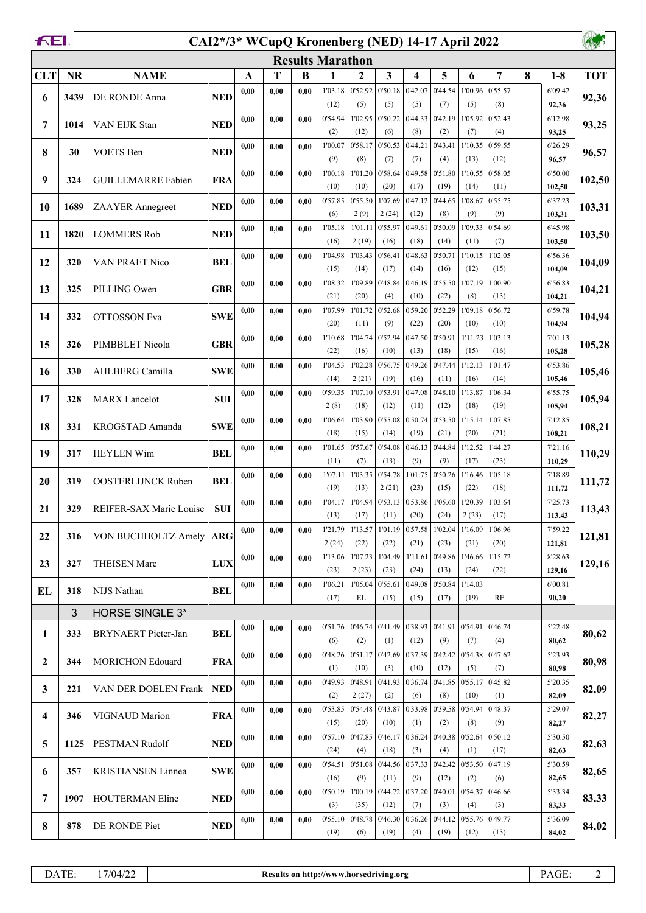|                  | FEI.<br>CAI2*/3* WCupQ Kronenberg (NED) 14-17 April 2022 |                           |            |      |      |      |                         |                  |                   |                           |                 |                 |                 |   |                   |            |
|------------------|----------------------------------------------------------|---------------------------|------------|------|------|------|-------------------------|------------------|-------------------|---------------------------|-----------------|-----------------|-----------------|---|-------------------|------------|
|                  |                                                          |                           |            |      |      |      | <b>Results Marathon</b> |                  |                   |                           |                 |                 |                 |   |                   |            |
| <b>CLT</b>       | <b>NR</b>                                                | <b>NAME</b>               |            | A    | T    | B    | 1                       | 2                | $\mathbf{3}$      | 4                         | 5               | 6               | 7               | 8 | $1-8$             | <b>TOT</b> |
| 6                | 3439                                                     | DE RONDE Anna             | <b>NED</b> | 0,00 | 0,00 | 0.00 | 1'03.18                 | 0'52.92          | 0'50.18           | 0'42.07                   | 0'44.54         | 1'00.96         | 0'55.57         |   | 6'09.42           | 92,36      |
|                  |                                                          |                           |            |      |      |      | (12)                    | (5)              | (5)               | (5)                       | (7)             | (5)             | (8)             |   | 92,36             |            |
| 7                | 1014                                                     | VAN EIJK Stan             | <b>NED</b> | 0,00 | 0,00 | 0,00 | 0'54.94<br>(2)          | 1'02.95<br>(12)  | 0'50.22<br>(6)    | 0'44.33<br>(8)            | 0'42.19<br>(2)  | 1'05.92<br>(7)  | 0'52.43<br>(4)  |   | 6'12.98<br>93,25  | 93,25      |
|                  |                                                          |                           |            | 0,00 | 0,00 | 0,00 | 1'00.07                 | 0'58.17          | 0'50.53           | 0'44.21                   | 0'43.41         | 1'10.35         | 0'59.55         |   | 6'26.29           |            |
| 8                | 30                                                       | <b>VOETS</b> Ben          | <b>NED</b> |      |      |      | (9)                     | (8)              | (7)               | (7)                       | (4)             | (13)            | (12)            |   | 96,57             | 96,57      |
| 9                | 324                                                      | <b>GUILLEMARRE Fabien</b> | <b>FRA</b> | 0,00 | 0,00 | 0.00 | 1'00.18                 | 1'01.20          | 0'58.64           | 0'49.58                   | 0'51.80         | 1'10.55         | 0'58.05         |   | 6'50.00           | 102,50     |
|                  |                                                          |                           |            |      |      |      | (10)                    | (10)             | (20)              | (17)                      | (19)            | (14)            | (11)            |   | 102,50            |            |
| 10               | 1689                                                     | ZAAYER Annegreet          | <b>NED</b> | 0,00 | 0,00 | 0.00 | 0'57.85<br>(6)          | 0'55.50<br>2(9)  | 1'07.69<br>2(24)  | 0'47.12<br>(12)           | 0'44.65<br>(8)  | 1'08.67<br>(9)  | 0'55.75<br>(9)  |   | 6'37.23<br>103,31 | 103,31     |
|                  |                                                          |                           |            | 0,00 | 0,00 | 0.00 | 1'05.18                 | 1'01.11          | 0'55.97           | 0'49.61                   | 0'50.09         | 1'09.33         | 0'54.69         |   | 6'45.98           |            |
| 11               | 1820                                                     | <b>LOMMERS Rob</b>        | <b>NED</b> |      |      |      | (16)                    | 2(19)            | (16)              | (18)                      | (14)            | (11)            | (7)             |   | 103,50            | 103,50     |
| 12               | 320                                                      | VAN PRAET Nico            | <b>BEL</b> | 0,00 | 0,00 | 0,00 | 1'04.98                 | 1'03.43          | 0'56.41           | 0'48.63                   | 0'50.71         | 1'10.15         | 1'02.05         |   | 6'56.36           | 104,09     |
|                  |                                                          |                           |            |      |      |      | (15)                    | (14)             | (17)              | (14)                      | (16)            | (12)            | (15)            |   | 104,09            |            |
| 13               | 325                                                      | PILLING Owen              | <b>GBR</b> | 0,00 | 0,00 | 0,00 | 1'08.32                 | 1'09.89          | 0'48.84           | 0'46.19                   | 0'55.50         | 1'07.19         | 1'00.90         |   | 6'56.83           | 104,21     |
|                  |                                                          |                           |            | 0,00 | 0,00 | 0,00 | (21)<br>1'07.99         | (20)<br>1'01.72  | (4)<br>0'52.68    | (10)<br>0'59.20           | (22)<br>0'52.29 | (8)<br>1'09.18  | (13)<br>0'56.72 |   | 104,21<br>6'59.78 |            |
| 14               | 332                                                      | <b>OTTOSSON</b> Eva       | <b>SWE</b> |      |      |      | (20)                    | (11)             | (9)               | (22)                      | (20)            | (10)            | (10)            |   | 104,94            | 104,94     |
|                  | 326                                                      | PIMBBLET Nicola           | <b>GBR</b> | 0,00 | 0,00 | 0.00 | 1'10.68                 | 1'04.74          | 0'52.94           | 0'47.50                   | 0'50.91         | 1'11.23         | 1'03.13         |   | 7'01.13           |            |
| 15               |                                                          |                           |            |      |      |      | (22)                    | (16)             | (10)              | (13)                      | (18)            | (15)            | (16)            |   | 105,28            | 105,28     |
| 16               | 330                                                      | AHLBERG Camilla           | <b>SWE</b> | 0,00 | 0,00 | 0,00 | 1'04.53                 | 1'02.28          | 0'56.75           | 0'49.26                   | 0'47.44         | 1'12.13         | 1'01.47         |   | 6'53.86           | 105,46     |
|                  |                                                          |                           |            |      |      |      | (14)<br>0'59.35         | 2(21)<br>1'07.10 | (19)<br>0'53.91   | (16)<br>0'47.08           | (11)<br>0'48.10 | (16)<br>1'13.87 | (14)<br>1'06.34 |   | 105,46<br>6'55.75 |            |
| 17               | 328                                                      | <b>MARX</b> Lancelot      | <b>SUI</b> | 0,00 | 0,00 | 0.00 | 2(8)                    | (18)             | (12)              | (11)                      | (12)            | (18)            | (19)            |   | 105,94            | 105,94     |
|                  |                                                          |                           |            | 0,00 | 0,00 | 0.00 | 1'06.64                 | 1'03.90          | 0'55.08           | 0'50.74                   | 0'53.50         | 1'15.14         | 1'07.85         |   | 7'12.85           |            |
| 18               | 331                                                      | KROGSTAD Amanda           | <b>SWE</b> |      |      |      | (18)                    | (15)             | (14)              | (19)                      | (21)            | (20)            | (21)            |   | 108,21            | 108,21     |
| 19               | 317                                                      | <b>HEYLEN Wim</b>         | <b>BEL</b> | 0,00 | 0,00 | 0.00 | 1'01.65                 | 0'57.67          | 0'54.08           | 0'46.13                   | 0'44.84         | 1'12.52         | 1'44.27         |   | 7'21.16           | 110,29     |
|                  |                                                          |                           |            |      |      |      | (11)                    | (7)              | (13)<br>0'54.78   | (9)                       | (9)<br>0'50.26  | (17)            | (23)            |   | 110,29            |            |
| 20               | 319                                                      | <b>OOSTERLIJNCK Ruben</b> | <b>BEL</b> | 0,00 | 0,00 | 0.00 | 1'07.11<br>(19)         | 1'03.35<br>(13)  | 2(21)             | 1'01.75<br>(23)           | (15)            | 1'16.46<br>(22) | 1'05.18<br>(18) |   | 7'18.89<br>111,72 | 111,72     |
|                  |                                                          |                           |            | 0,00 | 0,00 | 0,00 | 1'04.17                 |                  |                   | $1'04.94$ 0'53.13 0'53.86 | 1'05.60         | 1'20.39         | 1'03.64         |   | 7'25.73           |            |
| 21               | 329                                                      | REIFER-SAX Marie Louise   | <b>SUI</b> |      |      |      | (13)                    | (17)             | (11)              | (20)                      | (24)            | 2(23)           | (17)            |   | 113,43            | 113,43     |
| 22               | 316                                                      | VON BUCHHOLTZ Amely       | <b>ARG</b> | 0,00 | 0,00 | 0,00 | 1'21.79                 | 1'13.57          | 1'01.19           | 0'57.58                   | 1'02.04         | 1'16.09         | 1'06.96         |   | 7'59.22           | 121,81     |
|                  |                                                          |                           |            |      |      |      | 2(24)                   | (22)             | (22)              | (21)                      | (23)            | (21)            | (20)            |   | 121,81            |            |
| 23               | 327                                                      | <b>THEISEN Marc</b>       | <b>LUX</b> | 0,00 | 0,00 | 0,00 | 1'13.06<br>(23)         | 1'07.23<br>2(23) | 1'04.49<br>(23)   | 1'11.61<br>(24)           | 0'49.86<br>(13) | 1'46.66<br>(24) | 1'15.72<br>(22) |   | 8'28.63<br>129,16 | 129,16     |
|                  |                                                          |                           |            | 0,00 | 0,00 | 0.00 | 1'06.21                 | 1'05.04          | 0'55.61           | 0'49.08                   | 0'50.84         | 1'14.03         |                 |   | 6'00.81           |            |
| EL               | 318                                                      | NIJS Nathan               | <b>BEL</b> |      |      |      | (17)                    | EL               | (15)              | (15)                      | (17)            | (19)            | <b>RE</b>       |   | 90,20             |            |
|                  | 3                                                        | <b>HORSE SINGLE 3*</b>    |            |      |      |      |                         |                  |                   |                           |                 |                 |                 |   |                   |            |
| 1                | 333                                                      | BRYNAERT Pieter-Jan       | <b>BEL</b> | 0,00 | 0,00 | 0,00 | 0'51.76                 |                  | $0'46.74$ 0'41.49 | 0'38.93                   | 0'41.91         | 0'54.91         | 0'46.74         |   | 5'22.48           | 80,62      |
|                  |                                                          |                           |            |      |      |      | (6)                     | (2)              | (1)               | (12)                      | (9)             | (7)             | (4)             |   | 80,62             |            |
| $\boldsymbol{2}$ | 344                                                      | <b>MORICHON Edouard</b>   | <b>FRA</b> | 0,00 | 0,00 | 0,00 | 0'48.26<br>(1)          | 0'51.17<br>(10)  | 0'42.69<br>(3)    | 0'37.39<br>(10)           | 0'42.42<br>(12) | 0'54.38<br>(5)  | 0'47.62<br>(7)  |   | 5'23.93<br>80,98  | 80,98      |
|                  |                                                          |                           |            | 0,00 | 0,00 | 0,00 | 0'49.93                 | 0'48.91          | 0'41.93           | 0'36.74                   | 0'41.85         | 0'55.17         | 0'45.82         |   | 5'20.35           |            |
| 3                | 221                                                      | VAN DER DOELEN Frank      | <b>NED</b> |      |      |      | (2)                     | 2(27)            | (2)               | (6)                       | (8)             | (10)            | (1)             |   | 82,09             | 82,09      |
| 4                | 346                                                      | VIGNAUD Marion            | <b>FRA</b> | 0,00 | 0,00 | 0,00 | 0'53.85                 | 0'54.48          | 0'43.87           | 0'33.98                   | 0'39.58         | 0'54.94         | 0'48.37         |   | 5'29.07           | 82,27      |
|                  |                                                          |                           |            |      |      |      | (15)                    | (20)             | (10)              | (1)                       | (2)             | (8)             | (9)             |   | 82,27             |            |
| 5                | 1125                                                     | PESTMAN Rudolf            | <b>NED</b> | 0,00 | 0,00 | 0,00 | 0'57.10<br>(24)         | 0'47.85<br>(4)   | 0'46.17<br>(18)   | 0'36.24<br>(3)            | 0'40.38<br>(4)  | 0'52.64<br>(1)  | 0'50.12<br>(17) |   | 5'30.50<br>82,63  | 82,63      |
|                  |                                                          |                           |            | 0,00 | 0,00 | 0,00 | 0'54.51                 | 0'51.08          | 0'44.56           | 0'37.33                   | 0'42.42         | 0'53.50         | 0'47.19         |   | 5'30.59           |            |
| 6                | 357                                                      | KRISTIANSEN Linnea        | <b>SWE</b> |      |      |      | (16)                    | (9)              | (11)              | (9)                       | (12)            | (2)             | (6)             |   | 82,65             | 82,65      |
| 7                | 1907                                                     | <b>HOUTERMAN Eline</b>    | <b>NED</b> | 0,00 | 0,00 | 0.00 | 0'50.19                 | 1'00.19          | 0'44.72           | 0'37.20                   | 0'40.01         | 0'54.37         | 0'46.66         |   | 5'33.34           | 83,33      |
|                  |                                                          |                           |            |      |      |      | (3)                     | (35)             | (12)              | (7)                       | (3)             | (4)             | (3)             |   | 83,33             |            |
| 8                | 878                                                      | DE RONDE Piet             | <b>NED</b> | 0,00 | 0,00 | 0,00 | 0'55.10<br>(19)         | 0'48.78<br>(6)   | 0'46.30<br>(19)   | 0'36.26<br>(4)            | 0'44.12<br>(19) | 0'55.76<br>(12) | 0'49.77<br>(13) |   | 5'36.09<br>84,02  | 84,02      |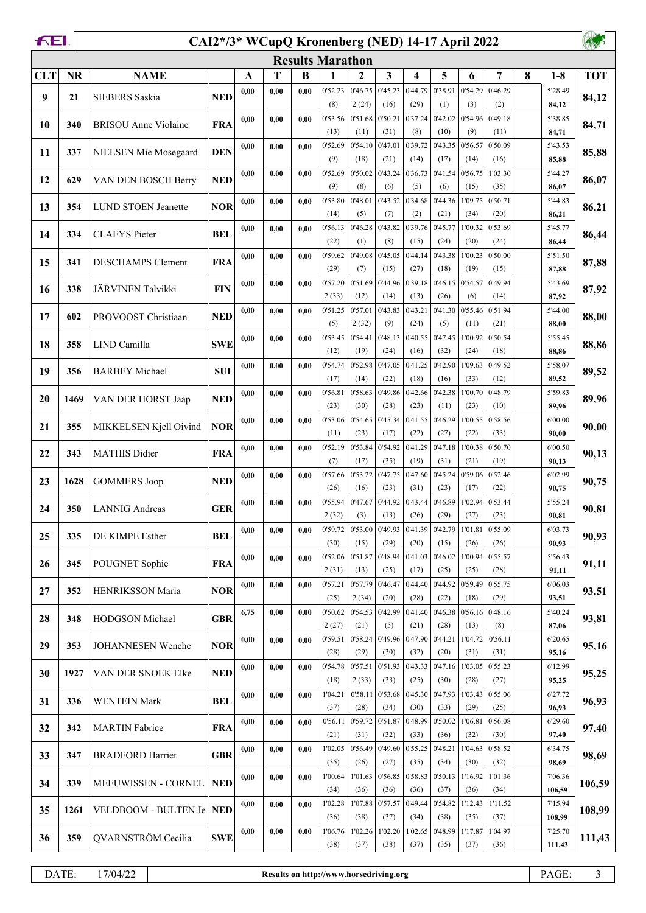|            | FEI.<br>CAI2*/3* WCupQ Kronenberg (NED) 14-17 April 2022 |                                   |            |      |      |      |                         |                  |                 |                 |                 |                 |                 |   |                   |            |
|------------|----------------------------------------------------------|-----------------------------------|------------|------|------|------|-------------------------|------------------|-----------------|-----------------|-----------------|-----------------|-----------------|---|-------------------|------------|
|            |                                                          |                                   |            |      |      |      | <b>Results Marathon</b> |                  |                 |                 |                 |                 |                 |   |                   |            |
| <b>CLT</b> | <b>NR</b>                                                | <b>NAME</b>                       |            | A    | T    | B    | 1                       | 2                | 3               | 4               | 5               | 6               | 7               | 8 | $1-8$             | <b>TOT</b> |
| 9          | 21                                                       | <b>SIEBERS</b> Saskia             | <b>NED</b> | 0,00 | 0,00 | 0,00 | 0'52.23<br>(8)          | 0'46.75<br>2(24) | 0'45.23<br>(16) | 0'44.79<br>(29) | 0'38.91<br>(1)  | 0'54.29<br>(3)  | 0'46.29<br>(2)  |   | 5'28.49<br>84,12  | 84,12      |
| 10         | 340                                                      | BRISOU Anne Violaine              | <b>FRA</b> | 0,00 | 0.00 | 0.00 | 0'53.56                 | 0'51.68          | 0'50.21         | 0'37.24         | 0'42.02         | 0'54.96         | 0'49.18         |   | 5'38.85           | 84,71      |
| 11         | 337                                                      | NIELSEN Mie Mosegaard             | <b>DEN</b> | 0,00 | 0.00 | 0.00 | (13)<br>0'52.69         | (11)<br>0'54.10  | (31)<br>0'47.01 | (8)<br>0'39.72  | (10)<br>0'43.35 | (9)<br>0'56.57  | (11)<br>0'50.09 |   | 84,71<br>5'43.53  | 85,88      |
|            |                                                          |                                   |            |      |      |      | (9)                     | (18)             | (21)            | (14)            | (17)            | (14)            | (16)            |   | 85,88             |            |
| 12         | 629                                                      | VAN DEN BOSCH Berry               | <b>NED</b> | 0,00 | 0,00 | 0,00 | 0'52.69<br>(9)          | 0'50.02<br>(8)   | 0'43.24<br>(6)  | 0'36.73<br>(5)  | 0'41.54<br>(6)  | 0'56.75<br>(15) | 1'03.30<br>(35) |   | 5'44.27<br>86,07  | 86,07      |
| 13         | 354                                                      | <b>LUND STOEN Jeanette</b>        | <b>NOR</b> | 0,00 | 0,00 | 0,00 | 0'53.80<br>(14)         | 0'48.01<br>(5)   | 0'43.52<br>(7)  | 0'34.68<br>(2)  | 0'44.36<br>(21) | 1'09.75<br>(34) | 0'50.71<br>(20) |   | 5'44.83<br>86,21  | 86,21      |
| 14         | 334                                                      | <b>CLAEYS</b> Pieter              | <b>BEL</b> | 0,00 | 0,00 | 0,00 | 0'56.13<br>(22)         | 0'46.28<br>(1)   | 0'43.82<br>(8)  | 0'39.76<br>(15) | 0'45.77<br>(24) | 1'00.32<br>(20) | 0'53.69<br>(24) |   | 5'45.77<br>86,44  | 86,44      |
| 15         | 341                                                      | DESCHAMPS Clement                 | <b>FRA</b> | 0,00 | 0,00 | 0,00 | 0'59.62<br>(29)         | 0'49.08<br>(7)   | 0'45.05<br>(15) | 0'44.14<br>(27) | 0'43.38<br>(18) | 1'00.23<br>(19) | 0'50.00<br>(15) |   | 5'51.50<br>87,88  | 87,88      |
| 16         | 338                                                      | JÄRVINEN Talvikki                 | <b>FIN</b> | 0,00 | 0,00 | 0,00 | 0'57.20                 | 0'51.69          | 0'44.96         | 0'39.18         | 0'46.15         | 0'54.57         | 0'49.94         |   | 5'43.69           | 87,92      |
|            |                                                          |                                   |            |      |      |      | 2(33)<br>0'51.25        | (12)<br>0'57.01  | (14)<br>0'43.83 | (13)<br>0'43.21 | (26)<br>0'41.30 | (6)<br>0'55.46  | (14)<br>0'51.94 |   | 87,92<br>5'44.00  |            |
| 17         | 602                                                      | PROVOOST Christiaan               | <b>NED</b> | 0,00 | 0,00 | 0,00 | (5)                     | 2(32)            | (9)             | (24)            | (5)             | (11)            | (21)            |   | 88,00             | 88,00      |
| 18         | 358                                                      | LIND Camilla                      | <b>SWE</b> | 0,00 | 0,00 | 0,00 | 0'53.45                 | 0'54.41          | 0'48.13         | 0'40.55         | 0'47.45         | 1'00.92         | 0'50.54         |   | 5'55.45           | 88,86      |
|            |                                                          |                                   |            |      |      |      | (12)                    | (19)             | (24)            | (16)            | (32)            | (24)            | (18)            |   | 88,86             |            |
| 19         | 356                                                      | <b>BARBEY Michael</b>             | <b>SUI</b> | 0,00 | 0,00 | 0,00 | 0'54.74<br>(17)         | 0'52.98<br>(14)  | 0'47.05<br>(22) | 0'41.25<br>(18) | 0'42.90<br>(16) | 1'09.63<br>(33) | 0'49.52<br>(12) |   | 5'58.07<br>89,52  | 89,52      |
| 20         | 1469                                                     | VAN DER HORST Jaap                | <b>NED</b> | 0,00 | 0,00 | 0,00 | 0'56.81<br>(23)         | 0'58.63<br>(30)  | 0'49.86<br>(28) | 0'42.66<br>(23) | 0'42.38<br>(11) | 1'00.70<br>(23) | 0'48.79<br>(10) |   | 5'59.83<br>89,96  | 89,96      |
| 21         | 355                                                      | MIKKELSEN Kjell Oivind            | <b>NOR</b> | 0,00 | 0,00 | 0,00 | 0'53.06<br>(11)         | 0'54.65<br>(23)  | 0'45.34<br>(17) | 0'41.55<br>(22) | 0'46.29<br>(27) | 1'00.55<br>(22) | 0'58.56<br>(33) |   | 6'00.00<br>90,00  | 90,00      |
| 22         | 343                                                      | <b>MATHIS Didier</b>              | <b>FRA</b> | 0,00 | 0,00 | 0,00 | 0'52.19<br>(7)          | 0'53.84<br>(17)  | 0'54.92<br>(35) | 0'41.29<br>(19) | 0'47.18<br>(31) | 1'00.38<br>(21) | 0'50.70<br>(19) |   | 6'00.50<br>90,13  | 90,13      |
| 23         | 1628                                                     | <b>GOMMERS Joop</b>               | <b>NED</b> | 0,00 | 0.00 | 0,00 | 0'57.66<br>(26)         | 0'53.22<br>(16)  | 0'47.75<br>(23) | 0'47.60<br>(31) | 0'45.24<br>(23) | 0'59.06<br>(17) | 0'52.46<br>(22) |   | 6'02.99           | 90,75      |
|            |                                                          |                                   |            | 0,00 | 0,00 | 0,00 | 0'55.94                 | 0'47.67          | 0'44.92         | 0'43.44         | 0'46.89         | 1'02.94         | 0'53.44         |   | 90,75<br>5'55.24  |            |
| 24         | 350                                                      | <b>LANNIG</b> Andreas             | <b>GER</b> |      |      |      | 2(32)                   | (3)              | (13)            | (26)            | (29)            | (27)            | (23)            |   | 90,81             | 90,81      |
| 25         | 335                                                      | DE KIMPE Esther                   | <b>BEL</b> | 0,00 | 0,00 | 0,00 | 0'59.72<br>(30)         | 0'53.00<br>(15)  | 0'49.93<br>(29) | 0'41.39<br>(20) | 0'42.79<br>(15) | 1'01.81<br>(26) | 0'55.09<br>(26) |   | 6'03.73<br>90,93  | 90,93      |
| 26         | 345                                                      | POUGNET Sophie                    | <b>FRA</b> | 0,00 | 0,00 | 0,00 | 0'52.06                 | 0'51.87          | 0'48.94         | 0'41.03         | 0'46.02         | 1'00.94         | 0'55.57         |   | 5'56.43           | 91,11      |
|            |                                                          |                                   |            |      |      |      | 2(31)                   | (13)             | (25)            | (17)            | (25)            | (25)            | (28)            |   | 91,11             |            |
| 27         | 352                                                      | HENRIKSSON Maria                  | <b>NOR</b> | 0,00 | 0,00 | 0,00 | 0'57.21<br>(25)         | 0'57.79<br>2(34) | 0'46.47<br>(20) | 0'44.40<br>(28) | 0'44.92<br>(22) | 0'59.49<br>(18) | 0'55.75<br>(29) |   | 6'06.03<br>93,51  | 93,51      |
| 28         | 348                                                      | HODGSON Michael                   | <b>GBR</b> | 6,75 | 0,00 | 0,00 | 0'50.62                 | 0'54.53          | 0'42.99         | 0'41.40         | 0'46.38         | 0'56.16         | 0'48.16         |   | 5'40.24           | 93,81      |
|            |                                                          |                                   |            | 0,00 | 0,00 | 0,00 | 2(27)<br>0'59.51        | (21)<br>0'58.24  | (5)<br>0'49.96  | (21)<br>0'47.90 | (28)<br>0'44.21 | (13)<br>1'04.72 | (8)<br>0'56.11  |   | 87,06<br>6'20.65  |            |
| 29         | 353                                                      | JOHANNESEN Wenche                 | <b>NOR</b> |      |      |      | (28)                    | (29)             | (30)            | (32)            | (20)            | (31)            | (31)            |   | 95,16             | 95,16      |
| 30         | 1927                                                     | VAN DER SNOEK Elke                | <b>NED</b> | 0,00 | 0,00 | 0,00 | 0'54.78<br>(18)         | 0'57.51<br>2(33) | 0'51.93<br>(33) | 0'43.33<br>(25) | 0'47.16<br>(30) | 1'03.05<br>(28) | 0'55.23<br>(27) |   | 6'12.99<br>95,25  | 95,25      |
| 31         | 336                                                      | <b>WENTEIN Mark</b>               | <b>BEL</b> | 0,00 | 0,00 | 0,00 | 1'04.21<br>(37)         | 0'58.11<br>(28)  | 0'53.68<br>(34) | 0'45.30<br>(30) | 0'47.93<br>(33) | 1'03.43<br>(29) | 0'55.06<br>(25) |   | 6'27.72<br>96,93  | 96,93      |
| 32         | 342                                                      | <b>MARTIN</b> Fabrice             | <b>FRA</b> | 0,00 | 0,00 | 0,00 | 0'56.11<br>(21)         | 0'59.72<br>(31)  | 0'51.87<br>(32) | 0'48.99<br>(33) | 0'50.02<br>(36) | 1'06.81<br>(32) | 0'56.08<br>(30) |   | 6'29.60<br>97,40  | 97,40      |
| 33         | 347                                                      | <b>BRADFORD Harriet</b>           | <b>GBR</b> | 0,00 | 0,00 | 0,00 | 1'02.05                 | 0'56.49          | 0'49.60         | 0'55.25         | 0'48.21         | 1'04.63         | 0'58.52         |   | 6'34.75           | 98,69      |
| 34         | 339                                                      | MEEUWISSEN - CORNEL               | <b>NED</b> | 0,00 | 0,00 | 0,00 | (35)<br>1'00.64         | (26)<br>1'01.63  | (27)<br>0'56.85 | (35)<br>0'58.83 | (34)<br>0'50.13 | (30)<br>1'16.92 | (32)<br>1'01.36 |   | 98,69<br>7'06.36  | 106,59     |
|            |                                                          |                                   |            |      |      |      | (34)<br>1'02.28         | (36)             | (36)<br>0'57.57 | (36)<br>0'49.44 | (37)<br>0'54.82 | (36)            | (34)<br>1'11.52 |   | 106,59            |            |
| 35         | 1261                                                     | <b>VELDBOOM - BULTEN Je   NED</b> |            | 0,00 | 0,00 | 0,00 | (36)                    | 1'07.88<br>(38)  | (37)            | (34)            | (38)            | 1'12.43<br>(35) | (37)            |   | 7'15.94<br>108,99 | 108,99     |
| 36         | 359                                                      | QVARNSTRÖM Cecilia                | <b>SWE</b> | 0,00 | 0,00 | 0,00 | 1'06.76<br>(38)         | 1'02.26<br>(37)  | 1'02.20<br>(38) | 1'02.65<br>(37) | 0'48.99<br>(35) | 1'17.87<br>(37) | 1'04.97<br>(36) |   | 7'25.70<br>111,43 | 111,43     |
|            |                                                          |                                   |            |      |      |      |                         |                  |                 |                 |                 |                 |                 |   |                   |            |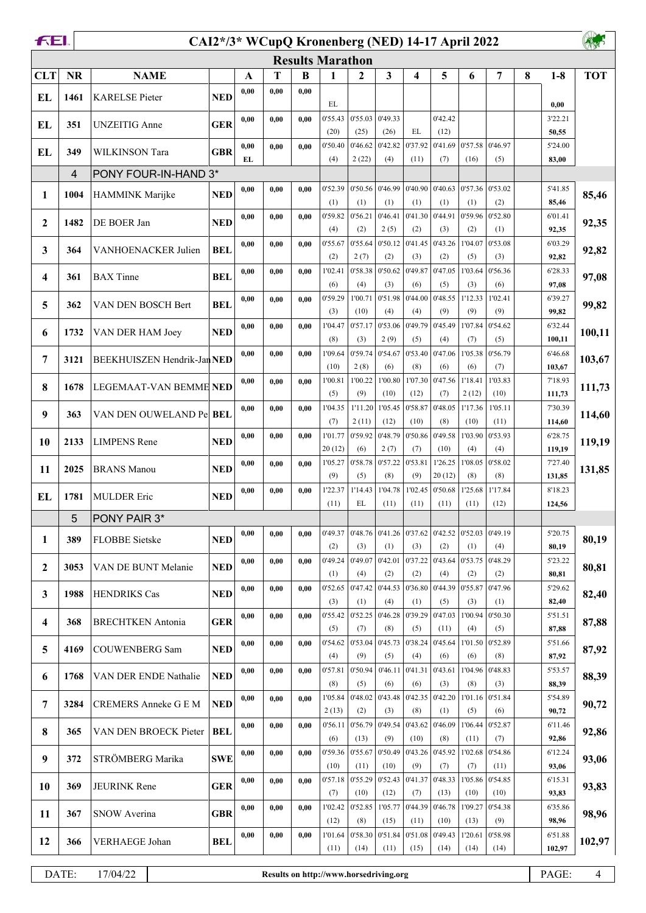|            | FEI.<br>CAI2*/3* WCupQ Kronenberg (NED) 14-17 April 2022 |                                        |            |      |      |      |                         |                  |                 |                         |                   |                  |                        |   |                   |            |
|------------|----------------------------------------------------------|----------------------------------------|------------|------|------|------|-------------------------|------------------|-----------------|-------------------------|-------------------|------------------|------------------------|---|-------------------|------------|
|            |                                                          |                                        |            |      |      |      | <b>Results Marathon</b> |                  |                 |                         |                   |                  |                        |   |                   |            |
| <b>CLT</b> | <b>NR</b>                                                | <b>NAME</b>                            |            | A    | T    | B    | $\mathbf{1}$            | $\overline{2}$   | 3               | $\overline{\mathbf{4}}$ | 5                 | 6                | $\overline{7}$         | 8 | $1-8$             | <b>TOT</b> |
| EL         | 1461                                                     | <b>KARELSE Pieter</b>                  | <b>NED</b> | 0,00 | 0,00 | 0.00 | EL                      |                  |                 |                         |                   |                  |                        |   | 0,00              |            |
| EL         | 351                                                      | <b>UNZEITIG</b> Anne                   | <b>GER</b> | 0,00 | 0,00 | 0.00 | 0'55.43                 | 0'55.03          | 0'49.33         |                         | 0'42.42           |                  |                        |   | 3'22.21           |            |
|            |                                                          |                                        | <b>GBR</b> | 0,00 | 0,00 | 0.00 | (20)<br>0'50.40         | (25)<br>0'46.62  | (26)<br>0'42.82 | EL<br>0'37.92           | (12)<br>0'41.69   | 0'57.58          | 0'46.97                |   | 50,55<br>5'24.00  |            |
| EL         | 349                                                      | WILKINSON Tara<br>PONY FOUR-IN-HAND 3* |            | EL   |      |      | (4)                     | 2(22)            | (4)             | (11)                    | (7)               | (16)             | (5)                    |   | 83,00             |            |
|            | 4                                                        |                                        |            |      |      |      |                         |                  |                 |                         |                   |                  |                        |   |                   |            |
| 1          | 1004                                                     | HAMMINK Marijke                        | <b>NED</b> | 0,00 | 0,00 | 0,00 | 0'52.39<br>(1)          | 0'50.56<br>(1)   | 0'46.99<br>(1)  | 0'40.90<br>(1)          | 0'40.63<br>(1)    | 0'57.36<br>(1)   | 0'53.02<br>(2)         |   | 5'41.85<br>85,46  | 85,46      |
| 2          | 1482                                                     | DE BOER Jan                            | <b>NED</b> | 0,00 | 0,00 | 0.00 | 0'59.82<br>(4)          | 0'56.21<br>(2)   | 0'46.41<br>2(5) | 0'41.30<br>(2)          | 0'44.91<br>(3)    | 0'59.96<br>(2)   | 0'52.80<br>(1)         |   | 6'01.41<br>92,35  | 92,35      |
| 3          | 364                                                      | VANHOENACKER Julien                    | <b>BEL</b> | 0,00 | 0,00 | 0.00 | 0'55.67                 | 0'55.64          | 0'50.12         | 0'41.45                 | 0'43.26           | 1'04.07          | 0'53.08                |   | 6'03.29           | 92,82      |
| 4          | 361                                                      | <b>BAX</b> Tinne                       | <b>BEL</b> | 0,00 | 0,00 | 0.00 | (2)<br>1'02.41          | 2(7)<br>0'58.38  | (2)<br>0'50.62  | (3)<br>0'49.87          | (2)<br>0'47.05    | (5)<br>1'03.64   | (3)<br>0'56.36         |   | 92,82<br>6'28.33  | 97,08      |
|            |                                                          |                                        |            |      |      |      | (6)                     | (4)              | (3)             | (6)                     | (5)               | (3)              | (6)                    |   | 97,08             |            |
| 5          | 362                                                      | VAN DEN BOSCH Bert                     | <b>BEL</b> | 0,00 | 0,00 | 0.00 | 0'59.29<br>(3)          | 1'00.71<br>(10)  | 0'51.98<br>(4)  | 0'44.00<br>(4)          | 0'48.55<br>(9)    | 1'12.33<br>(9)   | 1'02.41<br>(9)         |   | 6'39.27<br>99,82  | 99,82      |
| 6          | 1732                                                     | VAN DER HAM Joey                       | <b>NED</b> | 0,00 | 0,00 | 0.00 | 1'04.47<br>(8)          | 0'57.17<br>(3)   | 0'53.06<br>2(9) | 0'49.79<br>(5)          | 0'45.49<br>(4)    | 1'07.84<br>(7)   | 0'54.62<br>(5)         |   | 6'32.44<br>100,11 | 100,11     |
| 7          | 3121                                                     | BEEKHUISZEN Hendrik-Jan NED            |            | 0,00 | 0,00 | 0.00 | 1'09.64                 | 0'59.74          | 0'54.67         | 0'53.40                 | 0'47.06           | 1'05.38          | 0'56.79                |   | 6'46.68           | 103,67     |
|            |                                                          |                                        |            |      |      |      | (10)                    | 2(8)             | (6)<br>1'00.80  | (8)<br>1'07.30          | (6)<br>0'47.56    | (6)              | (7)<br>1'03.83         |   | 103,67<br>7'18.93 |            |
| 8          | 1678                                                     | LEGEMAAT-VAN BEMME NED                 |            | 0,00 | 0,00 | 0.00 | 1'00.81<br>(5)          | 1'00.22<br>(9)   | (10)            | (12)                    | (7)               | 1'18.41<br>2(12) | (10)                   |   | 111,73            | 111,73     |
| 9          | 363                                                      | VAN DEN OUWELAND Pe BEL                |            | 0,00 | 0,00 | 0.00 | 1'04.35                 | 1'11.20          | 1'05.45         | 0'58.87                 | 0'48.05           | 1'17.36          | 1'05.11                |   | 7'30.39           | 114,60     |
| 10         | 2133                                                     | <b>LIMPENS</b> Rene                    | <b>NED</b> | 0,00 | 0,00 | 0.00 | (7)<br>1'01.77          | 2(11)<br>0'59.92 | (12)<br>0'48.79 | (10)<br>0'50.86         | (8)<br>0'49.58    | (10)<br>1'03.90  | (11)<br>0'53.93        |   | 114,60<br>6'28.75 | 119,19     |
|            |                                                          |                                        |            |      |      |      | 20(12)                  | (6)              | 2(7)            | (7)                     | (10)              | (4)              | (4)                    |   | 119,19            |            |
| 11         | 2025                                                     | <b>BRANS Manou</b>                     | <b>NED</b> | 0,00 | 0,00 | 0.00 | 1'05.27<br>(9)          | 0'58.78<br>(5)   | 0'57.22<br>(8)  | 0'53.81<br>(9)          | 1'26.25<br>20(12) | 1'08.05<br>(8)   | 0'58.02<br>(8)         |   | 7'27.40<br>131,85 | 131,85     |
| EL         | 1781                                                     | <b>MULDER</b> Eric                     | <b>NED</b> | 0,00 | 0,00 | 0.00 | 1'22.37<br>(11)         | 1'14.43<br>EL    | 1'04.78<br>(11) | 1'02.45<br>(11)         | 0'50.68<br>(11)   | 1'25.68<br>(11)  | 1'17.84<br>(12)        |   | 8'18.23<br>124,56 |            |
|            | 5 <sup>5</sup>                                           | PONY PAIR 3*                           |            |      |      |      |                         |                  |                 |                         |                   |                  |                        |   |                   |            |
|            |                                                          |                                        |            | 0,00 | 0,00 | 0,00 | 0'49.37                 | 0'48.76          | 0'41.26         | 0'37.62                 |                   | 0'42.52 0'52.03  | 0'49.19                |   | 5'20.75           |            |
| 1          | 389                                                      | <b>FLOBBE Sietske</b>                  | <b>NED</b> |      |      |      | (2)                     | (3)              | (1)             | (3)                     | (2)               | (1)              | (4)                    |   | 80,19             | 80,19      |
| 2          | 3053                                                     | VAN DE BUNT Melanie                    | <b>NED</b> | 0,00 | 0,00 | 0.00 | 0'49.24<br>(1)          | 0'49.07<br>(4)   | 0'42.01<br>(2)  | 0'37.22<br>(2)          | 0'43.64<br>(4)    | 0'53.75<br>(2)   | 0'48.29<br>(2)         |   | 5'23.22<br>80,81  | 80,81      |
| 3          | 1988                                                     | <b>HENDRIKS Cas</b>                    | <b>NED</b> | 0,00 | 0,00 | 0.00 | 0'52.65                 | 0'47.42          | 0'44.53         | 0'36.80                 | 0'44.39           | 0'55.87          | 0'47.96                |   | 5'29.62           | 82,40      |
|            |                                                          |                                        |            |      |      |      | (3)<br>0'55.42          | (1)<br>0'52.25   | (4)<br>0'46.28  | (1)<br>0'39.29          | (5)<br>0'47.03    | (3)<br>1'00.94   | (1)<br>0'50.30         |   | 82,40<br>5'51.51  |            |
| 4          | 368                                                      | <b>BRECHTKEN</b> Antonia               | <b>GER</b> | 0,00 | 0,00 | 0.00 | (5)                     | (7)              | (8)             | (5)                     | (11)              | (4)              | (5)                    |   | 87,88             | 87,88      |
| 5          | 4169                                                     | <b>COUWENBERG Sam</b>                  | <b>NED</b> | 0,00 | 0,00 | 0,00 | 0'54.62<br>(4)          | 0'53.04<br>(9)   | 0'45.73<br>(5)  | 0'38.24<br>(4)          | 0'45.64<br>(6)    | 1'01.50<br>(6)   | 0'52.89<br>(8)         |   | 5'51.66<br>87,92  | 87,92      |
| 6          | 1768                                                     | VAN DER ENDE Nathalie                  | <b>NED</b> | 0,00 | 0,00 | 0.00 | 0'57.81                 | 0'50.94          | 0'46.11         | 0'41.31                 | 0'43.61           | 1'04.96          | 0'48.83                |   | 5'53.57           | 88,39      |
| 7          | 3284                                                     | CREMERS Anneke G E M                   | <b>NED</b> | 0,00 | 0,00 | 0.00 | (8)<br>1'05.84          | (5)<br>0'48.02   | (6)<br>0'43.48  | (6)<br>0'42.35          | (3)<br>0'42.20    | (8)              | (3)<br>1'01.16 0'51.84 |   | 88,39<br>5'54.89  | 90,72      |
|            |                                                          |                                        |            |      |      |      | 2(13)                   | (2)              | (3)             | (8)                     | (1)               | (5)              | (6)                    |   | 90,72             |            |
| 8          | 365                                                      | VAN DEN BROECK Pieter                  | BEL        | 0,00 | 0,00 | 0.00 | 0'56.11<br>(6)          | 0'56.79<br>(13)  | 0'49.54<br>(9)  | 0'43.62<br>(10)         | 0'46.09<br>(8)    | 1'06.44<br>(11)  | 0'52.87<br>(7)         |   | 6'11.46<br>92,86  | 92,86      |
| 9          | 372                                                      | STRÖMBERG Marika                       | <b>SWE</b> | 0,00 | 0,00 | 0.00 | 0'59.36<br>(10)         | 0'55.67<br>(11)  | 0'50.49<br>(10) | 0'43.26<br>(9)          | 0'45.92<br>(7)    | 1'02.68<br>(7)   | 0'54.86<br>(11)        |   | 6'12.24<br>93,06  | 93,06      |
| 10         | 369                                                      | JEURINK Rene                           | <b>GER</b> | 0,00 | 0,00 | 0,00 | 0'57.18                 | 0'55.29          |                 | $0'52.43$ 0'41.37       | 0'48.33           | 1'05.86          | 0'54.85                |   | 6'15.31           | 93,83      |
|            |                                                          |                                        |            | 0,00 | 0,00 | 0,00 | (7)<br>1'02.42          | (10)<br>0'52.85  | (12)<br>1'05.77 | (7)<br>0'44.39          | (13)<br>0'46.78   | (10)<br>1'09.27  | (10)<br>0'54.38        |   | 93,83<br>6'35.86  |            |
| 11         | 367                                                      | SNOW Averina                           | <b>GBR</b> |      |      |      | (12)                    | (8)              | (15)            | (11)                    | (10)              | (13)             | (9)                    |   | 98,96             | 98,96      |
| 12         | 366                                                      | VERHAEGE Johan                         | <b>BEL</b> | 0,00 | 0,00 | 0.00 | 1'01.64<br>(11)         | 0'58.30<br>(14)  | 0'51.84<br>(11) | 0'51.08<br>(15)         | 0'49.43<br>(14)   | 1'20.61<br>(14)  | 0'58.98<br>(14)        |   | 6'51.88<br>102,97 | 102,97     |
|            |                                                          |                                        |            |      |      |      |                         |                  |                 |                         |                   |                  |                        |   |                   |            |

DATE: 17/04/22 **Results on http://www.horsedriving.org** PAGE: 4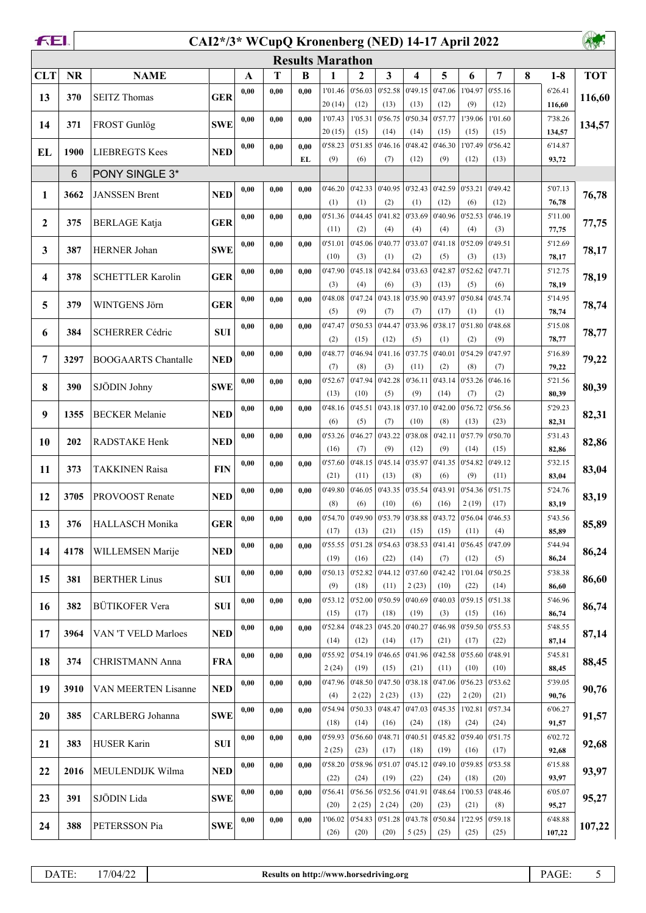| FEI.         |           | CAI2*/3* WCupQ Kronenberg (NED) 14-17 April 2022 |            |              |      |            |                         |                  |                  |                         |                 |                                                                                   |                 |   | 外观               |            |
|--------------|-----------|--------------------------------------------------|------------|--------------|------|------------|-------------------------|------------------|------------------|-------------------------|-----------------|-----------------------------------------------------------------------------------|-----------------|---|------------------|------------|
|              |           |                                                  |            |              |      |            | <b>Results Marathon</b> |                  |                  |                         |                 |                                                                                   |                 |   |                  |            |
| <b>CLT</b>   | <b>NR</b> | <b>NAME</b>                                      |            | $\mathbf{A}$ | T    | B          | 1                       | $\mathbf{2}$     | 3                | $\overline{\mathbf{4}}$ | 5               | 6                                                                                 | 7               | 8 | $1-8$            | <b>TOT</b> |
| 13           | 370       | <b>SEITZ Thomas</b>                              | <b>GER</b> | 0,00         | 0,00 | 0.00       | 1'01.46                 | 0'56.03          | 0'52.58          | 0'49.15                 | 0'47.06         | 1'04.97                                                                           | 0'55.16         |   | 6'26.41          | 116,60     |
|              |           |                                                  |            |              |      |            | 20(14)                  | (12)             | (13)             | (13)                    | (12)            | (9)                                                                               | (12)            |   | 116,60           |            |
| 14           | 371       | FROST Gunlög                                     | <b>SWE</b> | 0,00         | 0.00 | 0.00       | 1'07.43                 | 1'05.31          | 0'56.75          | 0'50.34                 | 0'57.77         | 1'39.06                                                                           | 1'01.60         |   | 7'38.26          | 134,57     |
|              |           |                                                  |            |              |      |            | 20(15)                  | (15)             | (14)             | (14)                    | (15)            | (15)                                                                              | (15)            |   | 134,57           |            |
| <b>EL</b>    | 1900      | <b>LIEBREGTS Kees</b>                            | <b>NED</b> | 0,00         | 0,00 | 0.00<br>EL | 0'58.23<br>(9)          | 0'51.85<br>(6)   | 0'46.16<br>(7)   | 0'48.42<br>(12)         | 0'46.30<br>(9)  | 1'07.49<br>(12)                                                                   | 0'56.42<br>(13) |   | 6'14.87<br>93,72 |            |
|              | 6         | PONY SINGLE 3*                                   |            |              |      |            |                         |                  |                  |                         |                 |                                                                                   |                 |   |                  |            |
|              |           |                                                  |            | 0,00         | 0,00 | 0.00       | 0'46.20                 | 0'42.33          | 0'40.95          | 0'32.43                 | 0'42.59         | 0'53.21                                                                           | 0'49.42         |   | 5'07.13          |            |
| 1            | 3662      | <b>JANSSEN Brent</b>                             | <b>NED</b> |              |      |            | (1)                     | (1)              | (2)              | (1)                     | (12)            | (6)                                                                               | (12)            |   | 76,78            | 76,78      |
| $\mathbf{2}$ | 375       | <b>BERLAGE</b> Katja                             | <b>GER</b> | 0,00         | 0,00 | 0.00       | 0'51.36                 | 0'44.45          | 0'41.82          | 0'33.69                 | 0'40.96         | 0'52.53                                                                           | 0'46.19         |   | 5'11.00          | 77,75      |
|              |           |                                                  |            |              |      |            | (11)                    | (2)              | (4)              | (4)                     | (4)             | (4)                                                                               | (3)             |   | 77,75            |            |
| 3            | 387       | <b>HERNER Johan</b>                              | <b>SWE</b> | 0,00         | 0,00 | 0,00       | 0'51.01                 | 0'45.06          | 0'40.77          | 0'33.07                 | 0'41.18         | 0'52.09                                                                           | 0'49.51         |   | 5'12.69          | 78,17      |
|              |           |                                                  |            |              |      |            | (10)                    | (3)              | (1)              | (2)                     | (5)             | (3)                                                                               | (13)            |   | 78,17            |            |
| 4            | 378       | <b>SCHETTLER Karolin</b>                         | <b>GER</b> | 0,00         | 0,00 | 0,00       | 0'47.90<br>(3)          | 0'45.18<br>(4)   | 0'42.84<br>(6)   | 0'33.63<br>(3)          | 0'42.87<br>(13) | 0'52.62<br>(5)                                                                    | 0'47.71<br>(6)  |   | 5'12.75<br>78,19 | 78,19      |
|              |           |                                                  |            | 0,00         | 0,00 | 0,00       | 0'48.08                 | 0'47.24          | 0'43.18          | 0'35.90                 | 0'43.97         | 0'50.84                                                                           | 0'45.74         |   | 5'14.95          |            |
| 5            | 379       | WINTGENS Jörn                                    | <b>GER</b> |              |      |            | (5)                     | (9)              | (7)              | (7)                     | (17)            | (1)                                                                               | (1)             |   | 78,74            | 78,74      |
| 6            | 384       | <b>SCHERRER Cédric</b>                           | <b>SUI</b> | 0,00         | 0,00 | 0.00       | 0'47.47                 | 0'50.53          | 0'44.47          | 0'33.96                 | 0'38.17         | 0'51.80                                                                           | 0'48.68         |   | 5'15.08          | 78,77      |
|              |           |                                                  |            |              |      |            | (2)                     | (15)             | (12)             | (5)                     | (1)             | (2)                                                                               | (9)             |   | 78,77            |            |
| 7            | 3297      | <b>BOOGAARTS Chantalle</b>                       | <b>NED</b> | 0,00         | 0,00 | 0.00       | 0'48.77                 | 0'46.94          | 0'41.16          | 0'37.75                 | 0'40.01         | 0'54.29                                                                           | 0'47.97         |   | 5'16.89          | 79,22      |
|              |           |                                                  |            |              |      |            | (7)                     | (8)              | (3)              | (11)                    | (2)             | (8)                                                                               | (7)             |   | 79,22            |            |
| 8            | 390       | SJÖDIN Johny                                     | <b>SWE</b> | 0,00         | 0,00 | 0,00       | 0'52.67<br>(13)         | 0'47.94<br>(10)  | 0'42.28<br>(5)   | 0'36.11<br>(9)          | 0'43.14<br>(14) | 0'53.26<br>(7)                                                                    | 0'46.16<br>(2)  |   | 5'21.56<br>80,39 | 80,39      |
|              |           |                                                  |            | 0,00         | 0.00 | 0.00       | 0'48.16                 | 0'45.51          | 0'43.18          | 0'37.10                 | 0'42.00         | 0'56.72                                                                           | 0'56.56         |   | 5'29.23          |            |
| 9            | 1355      | <b>BECKER</b> Melanie                            | <b>NED</b> |              |      |            | (6)                     | (5)              | (7)              | (10)                    | (8)             | (13)                                                                              | (23)            |   | 82,31            | 82,31      |
| 10           | 202       | RADSTAKE Henk                                    | <b>NED</b> | 0,00         | 0.00 | 0.00       | 0'53.26                 | 0'46.27          | 0'43.22          | 0'38.08                 | 0'42.11         | 0'57.79                                                                           | 0'50.70         |   | 5'31.43          | 82,86      |
|              |           |                                                  |            |              |      |            | (16)                    | (7)              | (9)              | (12)                    | (9)             | (14)                                                                              | (15)            |   | 82,86            |            |
| 11           | 373       | <b>TAKKINEN Raisa</b>                            | <b>FIN</b> | 0,00         | 0,00 | 0,00       | 0'57.60                 | 0'48.15          | 0'45.14          | 0'35.97                 | 0'41.35         | 0'54.82                                                                           | 0'49.12         |   | 5'32.15          | 83,04      |
|              |           |                                                  |            |              |      |            | (21)                    | (11)             | (13)             | (8)                     | (6)             | (9)                                                                               | (11)            |   | 83,04            |            |
| 12           | 3705      | <b>PROVOOST Renate</b>                           | <b>NED</b> | 0,00         | 0,00 | 0,00       | 0'49.80<br>(8)          | 0'46.05<br>(6)   | 0'43.35<br>(10)  | 0'35.54<br>(6)          | 0'43.91<br>(16) | 0'54.36<br>2(19)                                                                  | 0'51.75<br>(17) |   | 5'24.76<br>83,19 | 83,19      |
|              |           |                                                  |            | 0,00         | 0,00 | 0,00       |                         |                  |                  |                         |                 | $0'54.70$   $0'49.90$   $0'53.79$   $0'38.88$   $0'43.72$   $0'56.04$   $0'46.53$ |                 |   | 5'43.56          |            |
| 13           | 376       | HALLASCH Monika                                  | <b>GER</b> |              |      |            | (17)                    | (13)             | (21)             | (15)                    | (15)            | (11)                                                                              | (4)             |   | 85,89            | 85,89      |
| 14           | 4178      | WILLEMSEN Marije                                 | <b>NED</b> | 0,00         | 0,00 | 0,00       | 0'55.55                 | 0'51.28          | 0'54.63          | 0'38.53                 | 0'41.41         | 0'56.45                                                                           | 0'47.09         |   | 5'44.94          | 86,24      |
|              |           |                                                  |            |              |      |            | (19)                    | (16)             | (22)             | (14)                    | (7)             | (12)                                                                              | (5)             |   | 86,24            |            |
| 15           | 381       | <b>BERTHER Linus</b>                             | <b>SUI</b> | 0,00         | 0,00 | 0,00       | 0'50.13                 | 0'52.82          | 0'44.12          | 0'37.60                 | 0'42.42         | 1'01.04                                                                           | 0'50.25         |   | 5'38.38          | 86,60      |
|              |           |                                                  |            |              |      |            | (9)<br>0'53.12          | (18)<br>0'52.00  | (11)<br>0'50.59  | 2(23)<br>0'40.69        | (10)<br>0'40.03 | (22)<br>0'59.15                                                                   | (14)<br>0'51.38 |   | 86,60<br>5'46.96 |            |
| 16           | 382       | BÜTIKOFER Vera                                   | <b>SUI</b> | 0,00         | 0,00 | 0,00       | (15)                    | (17)             | (18)             | (19)                    | (3)             | (15)                                                                              | (16)            |   | 86,74            | 86,74      |
|              |           |                                                  |            | 0,00         | 0,00 | 0,00       | 0'52.84                 | 0'48.23          | 0'45.20          | 0'40.27                 | 0'46.98         | 0'59.50                                                                           | 0'55.53         |   | 5'48.55          |            |
| 17           | 3964      | VAN 'T VELD Marloes                              | <b>NED</b> |              |      |            | (14)                    | (12)             | (14)             | (17)                    | (21)            | (17)                                                                              | (22)            |   | 87,14            | 87,14      |
| 18           | 374       | CHRISTMANN Anna                                  | <b>FRA</b> | 0,00         | 0,00 | 0,00       | 0'55.92                 | 0'54.19          | 0'46.65          | 0'41.96                 | 0'42.58         | 0'55.60                                                                           | 0'48.91         |   | 5'45.81          | 88,45      |
|              |           |                                                  |            |              |      |            | 2(24)                   | (19)             | (15)             | (21)                    | (11)            | (10)                                                                              | (10)            |   | 88,45            |            |
| 19           | 3910      | VAN MEERTEN Lisanne                              | <b>NED</b> | 0,00         | 0,00 | 0,00       | 0'47.96                 | 0'48.50          | 0'47.50          | 0'38.18                 | 0'47.06         | 0'56.23                                                                           | 0'53.62         |   | 5'39.05          | 90,76      |
|              |           |                                                  |            | 0,00         | 0,00 | 0,00       | (4)<br>0'54.94          | 2(22)<br>0'50.33 | 2(23)<br>0'48.47 | (13)<br>0'47.03         | (22)<br>0'45.35 | 2(20)<br>1'02.81                                                                  | (21)<br>0'57.34 |   | 90,76<br>6'06.27 |            |
| 20           | 385       | CARLBERG Johanna                                 | <b>SWE</b> |              |      |            | (18)                    | (14)             | (16)             | (24)                    | (18)            | (24)                                                                              | (24)            |   | 91,57            | 91,57      |
|              |           |                                                  |            | 0,00         | 0,00 | 0,00       | 0'59.93                 | 0'56.60          | 0'48.71          | 0'40.51                 | 0'45.82         | 0'59.40                                                                           | 0'51.75         |   | 6'02.72          |            |
| 21           | 383       | HUSER Karin                                      | <b>SUI</b> |              |      |            | 2(25)                   | (23)             | (17)             | (18)                    | (19)            | (16)                                                                              | (17)            |   | 92,68            | 92,68      |
| 22           | 2016      | MEULENDIJK Wilma                                 | <b>NED</b> | 0,00         | 0,00 | 0,00       | 0'58.20                 | 0'58.96          | 0'51.07          | 0'45.12                 | 0'49.10         | 0'59.85                                                                           | 0'53.58         |   | 6'15.88          | 93,97      |
|              |           |                                                  |            |              |      |            | (22)                    | (24)             | (19)             | (22)                    | (24)            | (18)                                                                              | (20)            |   | 93,97            |            |
| 23           | 391       | SJÖDIN Lida                                      | <b>SWE</b> | 0,00         | 0,00 | 0,00       | 0'56.41<br>(20)         | 0'56.56<br>2(25) | 0'52.56<br>2(24) | 0'41.91<br>(20)         | 0'48.64<br>(23) | 1'00.53<br>(21)                                                                   | 0'48.46<br>(8)  |   | 6'05.07<br>95,27 | 95,27      |
|              |           |                                                  |            | 0,00         | 0,00 | 0,00       | 1'06.02                 | 0'54.83          |                  | 0.51.28 0.43.78         | 0'50.84         | 1'22.95                                                                           | 0'59.18         |   | 6'48.88          |            |
| 24           | 388       | PETERSSON Pia                                    | <b>SWE</b> |              |      |            | (26)                    | (20)             | (20)             | 5(25)                   | (25)            | (25)                                                                              | (25)            |   | 107,22           | 107,22     |

DATE: 17/04/22 **Results on http://www.horsedriving.org** PAGE: 5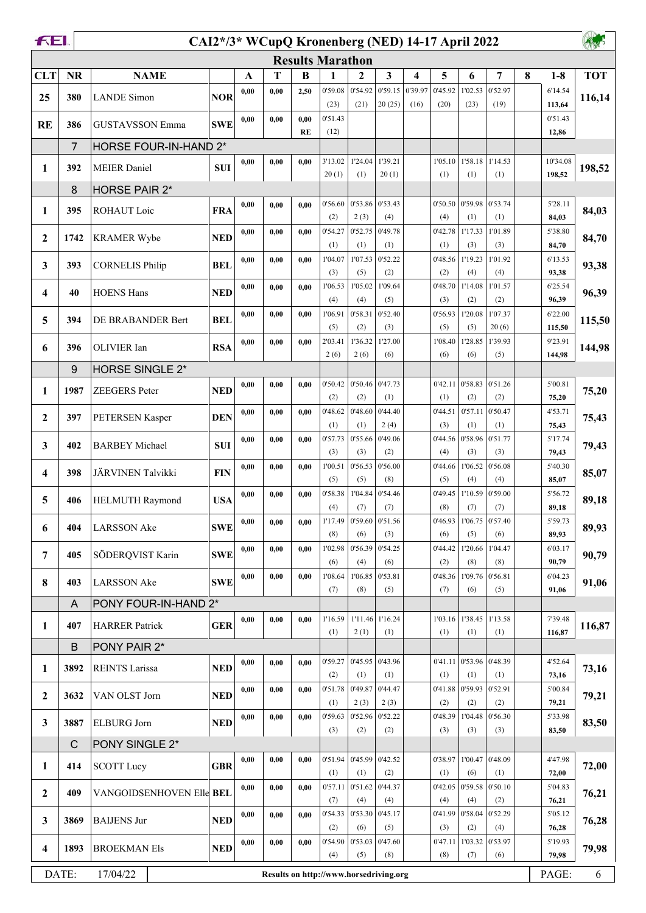| <b>Results Marathon</b><br>$\overline{\mathbf{3}}$<br>5<br><b>NR</b><br>T<br>7<br>8<br><b>TOT</b><br><b>CLT</b><br><b>NAME</b><br>B<br>$\mathbf{2}$<br>4<br>6<br>$1-8$<br>$\mathbf{A}$<br>1<br>0'54.92<br>0'59.15<br>0'52.97<br>0'59.08<br>0'39.97<br>0'45.92<br>1'02.53<br>0,00<br>0.00<br>2,50<br>6'14.54<br><b>NOR</b><br>380<br><b>LANDE</b> Simon<br>25<br>116,14<br>20(25)<br>(23)<br>(21)<br>(16)<br>(20)<br>(23)<br>(19)<br>113,64<br>0'51.43<br>0'51.43<br>0.00<br>0,00<br>0,00<br><b>RE</b><br><b>SWE</b><br>386<br><b>GUSTAVSSON Emma</b><br>(12)<br><b>RE</b><br>12,86<br>7<br>HORSE FOUR-IN-HAND 2*<br>1'58.18<br>1'14.53<br>3'13.02<br>1'24.04<br>1'39.21<br>10'34.08<br>0,00<br>0.00<br>1'05.10<br>0,00<br>392<br><b>SUI</b><br>198,52<br>1<br><b>MEIER</b> Daniel<br>20(1)<br>20(1)<br>(1)<br>(1)<br>(1)<br>(1)<br>198,52<br>8<br>HORSE PAIR 2*<br>0'53.74<br>$0'53.86$ 0'53.43<br>0'50.50 0'59.98<br>5'28.11<br>0'56.60<br>0,00<br>0.00<br>0,00<br>ROHAUT Loic<br><b>FRA</b><br>84,03<br>1<br>395<br>2(3)<br>(4)<br>(2)<br>(4)<br>(1)<br>(1)<br>84,03<br>0'49.78<br>0'42.78<br>1'17.33<br>1'01.89<br>0'54.27<br>0'52.75<br>5'38.80<br>0,00<br>0.00<br>0,00<br><b>KRAMER Wybe</b><br><b>NED</b><br>84,70<br>$\mathbf{2}$<br>1742<br>(3)<br>(1)<br>(1)<br>(1)<br>(1)<br>(3)<br>84,70<br>0'52.22<br>1'01.92<br>1'04.07<br>1'07.53<br>0'48.56<br>1'19.23<br>0,00<br>0.00<br>0.00<br>6'13.53<br>3<br>93,38<br><b>CORNELIS Philip</b><br><b>BEL</b><br>393<br>(2)<br>93,38<br>(3)<br>(5)<br>(2)<br>(4)<br>(4)<br>1'06.53<br>1'05.02<br>1'09.64<br>0'48.70<br>1'14.08<br>1'01.57<br>0,00<br>6'25.54<br>0.00<br>0.00<br>96,39<br>4<br><b>HOENS Hans</b><br><b>NED</b><br>40<br>(4)<br>(5)<br>(3)<br>(2)<br>96,39<br>(4)<br>(2)<br>0'52.40<br>0'58.31<br>0'56.93<br>1'20.08<br>1'07.37<br>6'22.00<br>0,00<br>1'06.91<br>0.00<br>0.00<br>5<br><b>BEL</b><br>115,50<br>394<br>DE BRABANDER Bert<br>(5)<br>(3)<br>(5)<br>20(6)<br>115,50<br>(2)<br>(5)<br>1'36.32<br>1'27.00<br>1'28.85<br>1'39.93<br>9'23.91<br>2'03.41<br>1'08.40<br>0,00<br>0.00<br>0.00<br><b>RSA</b><br>6<br>OLIVIER Ian<br>396<br>2(6)<br>2(6)<br>(6)<br>(6)<br>(6)<br>(5)<br>144,98<br>9<br>HORSE SINGLE 2*<br>0'51.26<br>0'50.46<br>0'47.73<br>0'42.11<br>0'58.83<br>5'00.81<br>0,00<br>0.00<br>0'50.42<br>0,00<br><b>NED</b><br>1987<br>ZEEGERS Peter<br>75,20<br>1<br>(2)<br>(2)<br>(1)<br>(2)<br>(2)<br>75,20<br>(1)<br>0'44.40<br>0'48.62<br>0'48.60<br>0'57.11<br>0'50.47<br>0'44.51<br>4'53.71<br>0,00<br>0.00<br>0,00<br>$\boldsymbol{2}$<br>397<br><b>DEN</b><br>75,43<br>PETERSEN Kasper<br>2(4)<br>(3)<br>(1)<br>(1)<br>(1)<br>(1)<br>75,43<br>0'51.77<br>0'55.66<br>0'49.06<br>0'44.56<br>0'58.96<br>5'17.74<br>0'57.73<br>0,00<br>0.00<br>0,00<br>3<br><b>SUI</b><br>79,43<br>402<br><b>BARBEY Michael</b><br>(3)<br>(2)<br>(3)<br>(3)<br>(4)<br>(3)<br>79,43<br>0'56.53<br>0'56.00<br>0'56.08<br>0,00<br>1'00.51<br>0'44.66<br>1'06.52<br>5'40.30<br>0,00<br>0,00<br>JÄRVINEN Talvikki<br>85,07<br>4<br>398<br><b>FIN</b><br>(5)<br>(5)<br>(8)<br>(5)<br>(4)<br>(4)<br>85,07<br>0'54.46<br>0'59.00<br>1'04.84<br>0'49.45<br>1'10.59<br>0'58.38<br>5'56.72<br>0,00<br>0.00<br>0,00<br><b>USA</b><br>5<br>406<br><b>HELMUTH Raymond</b><br>89,18<br>(4)<br>(7)<br>(7)<br>(8)<br>(7)<br>(7)<br>89,18<br>0'46.93 1'06.75 0'57.40<br>5'59.73<br>1'17.49   0'59.60   0'51.56<br>0,00<br>0,00<br>0.00<br><b>SWE</b><br>89,93<br>6<br>404<br><b>LARSSON</b> Ake<br>(8)<br>(6)<br>(3)<br>(6)<br>(5)<br>(6)<br>89,93<br>0'54.25<br>1'02.98<br>0'56.39<br>0'44.42<br>1'20.66<br>1'04.47<br>6'03.17<br>0,00<br>0.00<br>0.00<br>7<br>SÖDERQVIST Karin<br><b>SWE</b><br>90,79<br>405<br>(6)<br>(6)<br>(2)<br>(8)<br>(8)<br>(4)<br>90,79<br>0'56.81<br>1'06.85<br>0'53.81<br>0'48.36<br>1'09.76<br>0.00<br>1'08.64<br>6'04.23<br>0,00<br>0,00<br>8<br>91,06<br><b>SWE</b><br>403<br><b>LARSSON Ake</b><br>(7)<br>(8)<br>(5)<br>(7)<br>(6)<br>(5)<br>91,06<br>PONY FOUR-IN-HAND 2*<br>A<br>1'13.58<br>1'11.46 1'16.24<br>1'38.45<br>7'39.48<br>0,00<br>0.00<br>0.00<br>1'16.59<br>1'03.16<br><b>GER</b><br>116,87<br>1<br>407<br><b>HARRER Patrick</b><br>116,87<br>(1)<br>2(1)<br>(1)<br>(1)<br>(1)<br>(1)<br>PONY PAIR 2*<br>B<br>$0'45.95$ 0'43.96<br>0'41.11 0'53.96<br>0'48.39<br>0'59.27<br>4'52.64<br>0,00<br>0.00<br>0,00<br>73,16<br>1<br>3892<br><b>REINTS Larissa</b><br><b>NED</b><br>(2)<br>(1)<br>(1)<br>(1)<br>(1)<br>(1)<br>73,16<br>0'49.87<br>0'44.47<br>0'41.88<br>0'52.91<br>0'51.78<br>0'59.93<br>5'00.84<br>0,00<br>0,00<br>0,00<br>2<br>VAN OLST Jorn<br><b>NED</b><br>79,21<br>3632<br>2(3)<br>2(3)<br>(1)<br>(2)<br>(2)<br>(2)<br>79,21<br>0'59.63<br>0'52.96<br>0'52.22<br>0'48.39<br>1'04.48<br>0'56.30<br>0,00<br>0,00<br>0,00<br>5'33.98<br>3<br><b>ELBURG</b> Jorn<br><b>NED</b><br>83,50<br>3887<br>(3)<br>(2)<br>(2)<br>(3)<br>(3)<br>(3)<br>83,50<br>$\mathsf{C}$<br>PONY SINGLE 2*<br>0'48.09<br>0'45.99<br>0'42.52<br>1'00.47<br>0,00<br>0'51.94<br>0'38.97<br>4'47.98<br>0,00<br>0,00<br>72,00<br><b>GBR</b><br>1<br>414<br><b>SCOTT</b> Lucy<br>(1)<br>(1)<br>(2)<br>(1)<br>(6)<br>(1)<br>72,00<br> 0'44.37<br>0'59.58<br>0'50.10<br>0'57.11<br>0'51.62<br>0'42.05<br>5'04.83<br>0,00<br>0,00<br>0,00<br>409<br>VANGOIDSENHOVEN Elle BEL<br>$\overline{2}$<br>76,21<br>(2)<br>(7)<br>(4)<br>(4)<br>(4)<br>(4)<br>76,21<br>0'45.17<br>0'52.29<br>0'54.33<br>0'53.30<br>0'41.99<br>0'58.04<br>5'05.12<br>0,00<br>0.00<br>0,00<br>3<br>3869<br><b>BAIJENS Jur</b><br><b>NED</b><br>76,28<br>(4)<br>(2)<br>(6)<br>(5)<br>(3)<br>(2)<br>76,28<br>0'53.97<br>0'53.03<br>0'47.60<br>0'47.11 1'03.32<br>0'54.90<br>5'19.93<br>0,00<br>0,00<br>0,00<br>4<br>1893<br><b>NED</b><br>79,98<br><b>BROEKMAN Els</b><br>(4)<br>(5)<br>(8)<br>(8)<br>79,98<br>(7)<br>(6) | <b>FEI</b><br>AWS<br>CAI2*/3* WCupQ Kronenberg (NED) 14-17 April 2022 |  |  |  |  |  |  |  |  |  |  |  |  |  |        |
|-------------------------------------------------------------------------------------------------------------------------------------------------------------------------------------------------------------------------------------------------------------------------------------------------------------------------------------------------------------------------------------------------------------------------------------------------------------------------------------------------------------------------------------------------------------------------------------------------------------------------------------------------------------------------------------------------------------------------------------------------------------------------------------------------------------------------------------------------------------------------------------------------------------------------------------------------------------------------------------------------------------------------------------------------------------------------------------------------------------------------------------------------------------------------------------------------------------------------------------------------------------------------------------------------------------------------------------------------------------------------------------------------------------------------------------------------------------------------------------------------------------------------------------------------------------------------------------------------------------------------------------------------------------------------------------------------------------------------------------------------------------------------------------------------------------------------------------------------------------------------------------------------------------------------------------------------------------------------------------------------------------------------------------------------------------------------------------------------------------------------------------------------------------------------------------------------------------------------------------------------------------------------------------------------------------------------------------------------------------------------------------------------------------------------------------------------------------------------------------------------------------------------------------------------------------------------------------------------------------------------------------------------------------------------------------------------------------------------------------------------------------------------------------------------------------------------------------------------------------------------------------------------------------------------------------------------------------------------------------------------------------------------------------------------------------------------------------------------------------------------------------------------------------------------------------------------------------------------------------------------------------------------------------------------------------------------------------------------------------------------------------------------------------------------------------------------------------------------------------------------------------------------------------------------------------------------------------------------------------------------------------------------------------------------------------------------------------------------------------------------------------------------------------------------------------------------------------------------------------------------------------------------------------------------------------------------------------------------------------------------------------------------------------------------------------------------------------------------------------------------------------------------------------------------------------------------------------------------------------------------------------------------------------------------------------------------------------------------------------------------------------------------------------------------------------------------------------------------------------------------------------------------------------------------------------------------------------------------------------------------------------------------------------------------------------------------------------------------------------------------------------------------------------------------------------------------------------------------------------------------------------------------------------------------------------------------------------------------------------------------------------------------------------------------------------------------------------------------------------------------------------------------------------------------------------------------------------------------------------------------------------------------------------------------------------------------------------------------------------------------------------------------------------------------------------------------------------------------------------------------------------------------------------------------------------------------------------------------------------------------------------------------------------------------------------------------------------------------------------------------------------------------|-----------------------------------------------------------------------|--|--|--|--|--|--|--|--|--|--|--|--|--|--------|
|                                                                                                                                                                                                                                                                                                                                                                                                                                                                                                                                                                                                                                                                                                                                                                                                                                                                                                                                                                                                                                                                                                                                                                                                                                                                                                                                                                                                                                                                                                                                                                                                                                                                                                                                                                                                                                                                                                                                                                                                                                                                                                                                                                                                                                                                                                                                                                                                                                                                                                                                                                                                                                                                                                                                                                                                                                                                                                                                                                                                                                                                                                                                                                                                                                                                                                                                                                                                                                                                                                                                                                                                                                                                                                                                                                                                                                                                                                                                                                                                                                                                                                                                                                                                                                                                                                                                                                                                                                                                                                                                                                                                                                                                                                                                                                                                                                                                                                                                                                                                                                                                                                                                                                                                                                                                                                                                                                                                                                                                                                                                                                                                                                                                                                                                                                         |                                                                       |  |  |  |  |  |  |  |  |  |  |  |  |  |        |
|                                                                                                                                                                                                                                                                                                                                                                                                                                                                                                                                                                                                                                                                                                                                                                                                                                                                                                                                                                                                                                                                                                                                                                                                                                                                                                                                                                                                                                                                                                                                                                                                                                                                                                                                                                                                                                                                                                                                                                                                                                                                                                                                                                                                                                                                                                                                                                                                                                                                                                                                                                                                                                                                                                                                                                                                                                                                                                                                                                                                                                                                                                                                                                                                                                                                                                                                                                                                                                                                                                                                                                                                                                                                                                                                                                                                                                                                                                                                                                                                                                                                                                                                                                                                                                                                                                                                                                                                                                                                                                                                                                                                                                                                                                                                                                                                                                                                                                                                                                                                                                                                                                                                                                                                                                                                                                                                                                                                                                                                                                                                                                                                                                                                                                                                                                         |                                                                       |  |  |  |  |  |  |  |  |  |  |  |  |  |        |
|                                                                                                                                                                                                                                                                                                                                                                                                                                                                                                                                                                                                                                                                                                                                                                                                                                                                                                                                                                                                                                                                                                                                                                                                                                                                                                                                                                                                                                                                                                                                                                                                                                                                                                                                                                                                                                                                                                                                                                                                                                                                                                                                                                                                                                                                                                                                                                                                                                                                                                                                                                                                                                                                                                                                                                                                                                                                                                                                                                                                                                                                                                                                                                                                                                                                                                                                                                                                                                                                                                                                                                                                                                                                                                                                                                                                                                                                                                                                                                                                                                                                                                                                                                                                                                                                                                                                                                                                                                                                                                                                                                                                                                                                                                                                                                                                                                                                                                                                                                                                                                                                                                                                                                                                                                                                                                                                                                                                                                                                                                                                                                                                                                                                                                                                                                         |                                                                       |  |  |  |  |  |  |  |  |  |  |  |  |  |        |
|                                                                                                                                                                                                                                                                                                                                                                                                                                                                                                                                                                                                                                                                                                                                                                                                                                                                                                                                                                                                                                                                                                                                                                                                                                                                                                                                                                                                                                                                                                                                                                                                                                                                                                                                                                                                                                                                                                                                                                                                                                                                                                                                                                                                                                                                                                                                                                                                                                                                                                                                                                                                                                                                                                                                                                                                                                                                                                                                                                                                                                                                                                                                                                                                                                                                                                                                                                                                                                                                                                                                                                                                                                                                                                                                                                                                                                                                                                                                                                                                                                                                                                                                                                                                                                                                                                                                                                                                                                                                                                                                                                                                                                                                                                                                                                                                                                                                                                                                                                                                                                                                                                                                                                                                                                                                                                                                                                                                                                                                                                                                                                                                                                                                                                                                                                         |                                                                       |  |  |  |  |  |  |  |  |  |  |  |  |  |        |
|                                                                                                                                                                                                                                                                                                                                                                                                                                                                                                                                                                                                                                                                                                                                                                                                                                                                                                                                                                                                                                                                                                                                                                                                                                                                                                                                                                                                                                                                                                                                                                                                                                                                                                                                                                                                                                                                                                                                                                                                                                                                                                                                                                                                                                                                                                                                                                                                                                                                                                                                                                                                                                                                                                                                                                                                                                                                                                                                                                                                                                                                                                                                                                                                                                                                                                                                                                                                                                                                                                                                                                                                                                                                                                                                                                                                                                                                                                                                                                                                                                                                                                                                                                                                                                                                                                                                                                                                                                                                                                                                                                                                                                                                                                                                                                                                                                                                                                                                                                                                                                                                                                                                                                                                                                                                                                                                                                                                                                                                                                                                                                                                                                                                                                                                                                         |                                                                       |  |  |  |  |  |  |  |  |  |  |  |  |  |        |
|                                                                                                                                                                                                                                                                                                                                                                                                                                                                                                                                                                                                                                                                                                                                                                                                                                                                                                                                                                                                                                                                                                                                                                                                                                                                                                                                                                                                                                                                                                                                                                                                                                                                                                                                                                                                                                                                                                                                                                                                                                                                                                                                                                                                                                                                                                                                                                                                                                                                                                                                                                                                                                                                                                                                                                                                                                                                                                                                                                                                                                                                                                                                                                                                                                                                                                                                                                                                                                                                                                                                                                                                                                                                                                                                                                                                                                                                                                                                                                                                                                                                                                                                                                                                                                                                                                                                                                                                                                                                                                                                                                                                                                                                                                                                                                                                                                                                                                                                                                                                                                                                                                                                                                                                                                                                                                                                                                                                                                                                                                                                                                                                                                                                                                                                                                         |                                                                       |  |  |  |  |  |  |  |  |  |  |  |  |  |        |
|                                                                                                                                                                                                                                                                                                                                                                                                                                                                                                                                                                                                                                                                                                                                                                                                                                                                                                                                                                                                                                                                                                                                                                                                                                                                                                                                                                                                                                                                                                                                                                                                                                                                                                                                                                                                                                                                                                                                                                                                                                                                                                                                                                                                                                                                                                                                                                                                                                                                                                                                                                                                                                                                                                                                                                                                                                                                                                                                                                                                                                                                                                                                                                                                                                                                                                                                                                                                                                                                                                                                                                                                                                                                                                                                                                                                                                                                                                                                                                                                                                                                                                                                                                                                                                                                                                                                                                                                                                                                                                                                                                                                                                                                                                                                                                                                                                                                                                                                                                                                                                                                                                                                                                                                                                                                                                                                                                                                                                                                                                                                                                                                                                                                                                                                                                         |                                                                       |  |  |  |  |  |  |  |  |  |  |  |  |  |        |
|                                                                                                                                                                                                                                                                                                                                                                                                                                                                                                                                                                                                                                                                                                                                                                                                                                                                                                                                                                                                                                                                                                                                                                                                                                                                                                                                                                                                                                                                                                                                                                                                                                                                                                                                                                                                                                                                                                                                                                                                                                                                                                                                                                                                                                                                                                                                                                                                                                                                                                                                                                                                                                                                                                                                                                                                                                                                                                                                                                                                                                                                                                                                                                                                                                                                                                                                                                                                                                                                                                                                                                                                                                                                                                                                                                                                                                                                                                                                                                                                                                                                                                                                                                                                                                                                                                                                                                                                                                                                                                                                                                                                                                                                                                                                                                                                                                                                                                                                                                                                                                                                                                                                                                                                                                                                                                                                                                                                                                                                                                                                                                                                                                                                                                                                                                         |                                                                       |  |  |  |  |  |  |  |  |  |  |  |  |  |        |
|                                                                                                                                                                                                                                                                                                                                                                                                                                                                                                                                                                                                                                                                                                                                                                                                                                                                                                                                                                                                                                                                                                                                                                                                                                                                                                                                                                                                                                                                                                                                                                                                                                                                                                                                                                                                                                                                                                                                                                                                                                                                                                                                                                                                                                                                                                                                                                                                                                                                                                                                                                                                                                                                                                                                                                                                                                                                                                                                                                                                                                                                                                                                                                                                                                                                                                                                                                                                                                                                                                                                                                                                                                                                                                                                                                                                                                                                                                                                                                                                                                                                                                                                                                                                                                                                                                                                                                                                                                                                                                                                                                                                                                                                                                                                                                                                                                                                                                                                                                                                                                                                                                                                                                                                                                                                                                                                                                                                                                                                                                                                                                                                                                                                                                                                                                         |                                                                       |  |  |  |  |  |  |  |  |  |  |  |  |  |        |
|                                                                                                                                                                                                                                                                                                                                                                                                                                                                                                                                                                                                                                                                                                                                                                                                                                                                                                                                                                                                                                                                                                                                                                                                                                                                                                                                                                                                                                                                                                                                                                                                                                                                                                                                                                                                                                                                                                                                                                                                                                                                                                                                                                                                                                                                                                                                                                                                                                                                                                                                                                                                                                                                                                                                                                                                                                                                                                                                                                                                                                                                                                                                                                                                                                                                                                                                                                                                                                                                                                                                                                                                                                                                                                                                                                                                                                                                                                                                                                                                                                                                                                                                                                                                                                                                                                                                                                                                                                                                                                                                                                                                                                                                                                                                                                                                                                                                                                                                                                                                                                                                                                                                                                                                                                                                                                                                                                                                                                                                                                                                                                                                                                                                                                                                                                         |                                                                       |  |  |  |  |  |  |  |  |  |  |  |  |  |        |
|                                                                                                                                                                                                                                                                                                                                                                                                                                                                                                                                                                                                                                                                                                                                                                                                                                                                                                                                                                                                                                                                                                                                                                                                                                                                                                                                                                                                                                                                                                                                                                                                                                                                                                                                                                                                                                                                                                                                                                                                                                                                                                                                                                                                                                                                                                                                                                                                                                                                                                                                                                                                                                                                                                                                                                                                                                                                                                                                                                                                                                                                                                                                                                                                                                                                                                                                                                                                                                                                                                                                                                                                                                                                                                                                                                                                                                                                                                                                                                                                                                                                                                                                                                                                                                                                                                                                                                                                                                                                                                                                                                                                                                                                                                                                                                                                                                                                                                                                                                                                                                                                                                                                                                                                                                                                                                                                                                                                                                                                                                                                                                                                                                                                                                                                                                         |                                                                       |  |  |  |  |  |  |  |  |  |  |  |  |  |        |
|                                                                                                                                                                                                                                                                                                                                                                                                                                                                                                                                                                                                                                                                                                                                                                                                                                                                                                                                                                                                                                                                                                                                                                                                                                                                                                                                                                                                                                                                                                                                                                                                                                                                                                                                                                                                                                                                                                                                                                                                                                                                                                                                                                                                                                                                                                                                                                                                                                                                                                                                                                                                                                                                                                                                                                                                                                                                                                                                                                                                                                                                                                                                                                                                                                                                                                                                                                                                                                                                                                                                                                                                                                                                                                                                                                                                                                                                                                                                                                                                                                                                                                                                                                                                                                                                                                                                                                                                                                                                                                                                                                                                                                                                                                                                                                                                                                                                                                                                                                                                                                                                                                                                                                                                                                                                                                                                                                                                                                                                                                                                                                                                                                                                                                                                                                         |                                                                       |  |  |  |  |  |  |  |  |  |  |  |  |  |        |
|                                                                                                                                                                                                                                                                                                                                                                                                                                                                                                                                                                                                                                                                                                                                                                                                                                                                                                                                                                                                                                                                                                                                                                                                                                                                                                                                                                                                                                                                                                                                                                                                                                                                                                                                                                                                                                                                                                                                                                                                                                                                                                                                                                                                                                                                                                                                                                                                                                                                                                                                                                                                                                                                                                                                                                                                                                                                                                                                                                                                                                                                                                                                                                                                                                                                                                                                                                                                                                                                                                                                                                                                                                                                                                                                                                                                                                                                                                                                                                                                                                                                                                                                                                                                                                                                                                                                                                                                                                                                                                                                                                                                                                                                                                                                                                                                                                                                                                                                                                                                                                                                                                                                                                                                                                                                                                                                                                                                                                                                                                                                                                                                                                                                                                                                                                         |                                                                       |  |  |  |  |  |  |  |  |  |  |  |  |  |        |
|                                                                                                                                                                                                                                                                                                                                                                                                                                                                                                                                                                                                                                                                                                                                                                                                                                                                                                                                                                                                                                                                                                                                                                                                                                                                                                                                                                                                                                                                                                                                                                                                                                                                                                                                                                                                                                                                                                                                                                                                                                                                                                                                                                                                                                                                                                                                                                                                                                                                                                                                                                                                                                                                                                                                                                                                                                                                                                                                                                                                                                                                                                                                                                                                                                                                                                                                                                                                                                                                                                                                                                                                                                                                                                                                                                                                                                                                                                                                                                                                                                                                                                                                                                                                                                                                                                                                                                                                                                                                                                                                                                                                                                                                                                                                                                                                                                                                                                                                                                                                                                                                                                                                                                                                                                                                                                                                                                                                                                                                                                                                                                                                                                                                                                                                                                         |                                                                       |  |  |  |  |  |  |  |  |  |  |  |  |  |        |
|                                                                                                                                                                                                                                                                                                                                                                                                                                                                                                                                                                                                                                                                                                                                                                                                                                                                                                                                                                                                                                                                                                                                                                                                                                                                                                                                                                                                                                                                                                                                                                                                                                                                                                                                                                                                                                                                                                                                                                                                                                                                                                                                                                                                                                                                                                                                                                                                                                                                                                                                                                                                                                                                                                                                                                                                                                                                                                                                                                                                                                                                                                                                                                                                                                                                                                                                                                                                                                                                                                                                                                                                                                                                                                                                                                                                                                                                                                                                                                                                                                                                                                                                                                                                                                                                                                                                                                                                                                                                                                                                                                                                                                                                                                                                                                                                                                                                                                                                                                                                                                                                                                                                                                                                                                                                                                                                                                                                                                                                                                                                                                                                                                                                                                                                                                         |                                                                       |  |  |  |  |  |  |  |  |  |  |  |  |  |        |
|                                                                                                                                                                                                                                                                                                                                                                                                                                                                                                                                                                                                                                                                                                                                                                                                                                                                                                                                                                                                                                                                                                                                                                                                                                                                                                                                                                                                                                                                                                                                                                                                                                                                                                                                                                                                                                                                                                                                                                                                                                                                                                                                                                                                                                                                                                                                                                                                                                                                                                                                                                                                                                                                                                                                                                                                                                                                                                                                                                                                                                                                                                                                                                                                                                                                                                                                                                                                                                                                                                                                                                                                                                                                                                                                                                                                                                                                                                                                                                                                                                                                                                                                                                                                                                                                                                                                                                                                                                                                                                                                                                                                                                                                                                                                                                                                                                                                                                                                                                                                                                                                                                                                                                                                                                                                                                                                                                                                                                                                                                                                                                                                                                                                                                                                                                         |                                                                       |  |  |  |  |  |  |  |  |  |  |  |  |  |        |
|                                                                                                                                                                                                                                                                                                                                                                                                                                                                                                                                                                                                                                                                                                                                                                                                                                                                                                                                                                                                                                                                                                                                                                                                                                                                                                                                                                                                                                                                                                                                                                                                                                                                                                                                                                                                                                                                                                                                                                                                                                                                                                                                                                                                                                                                                                                                                                                                                                                                                                                                                                                                                                                                                                                                                                                                                                                                                                                                                                                                                                                                                                                                                                                                                                                                                                                                                                                                                                                                                                                                                                                                                                                                                                                                                                                                                                                                                                                                                                                                                                                                                                                                                                                                                                                                                                                                                                                                                                                                                                                                                                                                                                                                                                                                                                                                                                                                                                                                                                                                                                                                                                                                                                                                                                                                                                                                                                                                                                                                                                                                                                                                                                                                                                                                                                         |                                                                       |  |  |  |  |  |  |  |  |  |  |  |  |  | 144,98 |
|                                                                                                                                                                                                                                                                                                                                                                                                                                                                                                                                                                                                                                                                                                                                                                                                                                                                                                                                                                                                                                                                                                                                                                                                                                                                                                                                                                                                                                                                                                                                                                                                                                                                                                                                                                                                                                                                                                                                                                                                                                                                                                                                                                                                                                                                                                                                                                                                                                                                                                                                                                                                                                                                                                                                                                                                                                                                                                                                                                                                                                                                                                                                                                                                                                                                                                                                                                                                                                                                                                                                                                                                                                                                                                                                                                                                                                                                                                                                                                                                                                                                                                                                                                                                                                                                                                                                                                                                                                                                                                                                                                                                                                                                                                                                                                                                                                                                                                                                                                                                                                                                                                                                                                                                                                                                                                                                                                                                                                                                                                                                                                                                                                                                                                                                                                         |                                                                       |  |  |  |  |  |  |  |  |  |  |  |  |  |        |
|                                                                                                                                                                                                                                                                                                                                                                                                                                                                                                                                                                                                                                                                                                                                                                                                                                                                                                                                                                                                                                                                                                                                                                                                                                                                                                                                                                                                                                                                                                                                                                                                                                                                                                                                                                                                                                                                                                                                                                                                                                                                                                                                                                                                                                                                                                                                                                                                                                                                                                                                                                                                                                                                                                                                                                                                                                                                                                                                                                                                                                                                                                                                                                                                                                                                                                                                                                                                                                                                                                                                                                                                                                                                                                                                                                                                                                                                                                                                                                                                                                                                                                                                                                                                                                                                                                                                                                                                                                                                                                                                                                                                                                                                                                                                                                                                                                                                                                                                                                                                                                                                                                                                                                                                                                                                                                                                                                                                                                                                                                                                                                                                                                                                                                                                                                         |                                                                       |  |  |  |  |  |  |  |  |  |  |  |  |  |        |
|                                                                                                                                                                                                                                                                                                                                                                                                                                                                                                                                                                                                                                                                                                                                                                                                                                                                                                                                                                                                                                                                                                                                                                                                                                                                                                                                                                                                                                                                                                                                                                                                                                                                                                                                                                                                                                                                                                                                                                                                                                                                                                                                                                                                                                                                                                                                                                                                                                                                                                                                                                                                                                                                                                                                                                                                                                                                                                                                                                                                                                                                                                                                                                                                                                                                                                                                                                                                                                                                                                                                                                                                                                                                                                                                                                                                                                                                                                                                                                                                                                                                                                                                                                                                                                                                                                                                                                                                                                                                                                                                                                                                                                                                                                                                                                                                                                                                                                                                                                                                                                                                                                                                                                                                                                                                                                                                                                                                                                                                                                                                                                                                                                                                                                                                                                         |                                                                       |  |  |  |  |  |  |  |  |  |  |  |  |  |        |
|                                                                                                                                                                                                                                                                                                                                                                                                                                                                                                                                                                                                                                                                                                                                                                                                                                                                                                                                                                                                                                                                                                                                                                                                                                                                                                                                                                                                                                                                                                                                                                                                                                                                                                                                                                                                                                                                                                                                                                                                                                                                                                                                                                                                                                                                                                                                                                                                                                                                                                                                                                                                                                                                                                                                                                                                                                                                                                                                                                                                                                                                                                                                                                                                                                                                                                                                                                                                                                                                                                                                                                                                                                                                                                                                                                                                                                                                                                                                                                                                                                                                                                                                                                                                                                                                                                                                                                                                                                                                                                                                                                                                                                                                                                                                                                                                                                                                                                                                                                                                                                                                                                                                                                                                                                                                                                                                                                                                                                                                                                                                                                                                                                                                                                                                                                         |                                                                       |  |  |  |  |  |  |  |  |  |  |  |  |  |        |
|                                                                                                                                                                                                                                                                                                                                                                                                                                                                                                                                                                                                                                                                                                                                                                                                                                                                                                                                                                                                                                                                                                                                                                                                                                                                                                                                                                                                                                                                                                                                                                                                                                                                                                                                                                                                                                                                                                                                                                                                                                                                                                                                                                                                                                                                                                                                                                                                                                                                                                                                                                                                                                                                                                                                                                                                                                                                                                                                                                                                                                                                                                                                                                                                                                                                                                                                                                                                                                                                                                                                                                                                                                                                                                                                                                                                                                                                                                                                                                                                                                                                                                                                                                                                                                                                                                                                                                                                                                                                                                                                                                                                                                                                                                                                                                                                                                                                                                                                                                                                                                                                                                                                                                                                                                                                                                                                                                                                                                                                                                                                                                                                                                                                                                                                                                         |                                                                       |  |  |  |  |  |  |  |  |  |  |  |  |  |        |
|                                                                                                                                                                                                                                                                                                                                                                                                                                                                                                                                                                                                                                                                                                                                                                                                                                                                                                                                                                                                                                                                                                                                                                                                                                                                                                                                                                                                                                                                                                                                                                                                                                                                                                                                                                                                                                                                                                                                                                                                                                                                                                                                                                                                                                                                                                                                                                                                                                                                                                                                                                                                                                                                                                                                                                                                                                                                                                                                                                                                                                                                                                                                                                                                                                                                                                                                                                                                                                                                                                                                                                                                                                                                                                                                                                                                                                                                                                                                                                                                                                                                                                                                                                                                                                                                                                                                                                                                                                                                                                                                                                                                                                                                                                                                                                                                                                                                                                                                                                                                                                                                                                                                                                                                                                                                                                                                                                                                                                                                                                                                                                                                                                                                                                                                                                         |                                                                       |  |  |  |  |  |  |  |  |  |  |  |  |  |        |
|                                                                                                                                                                                                                                                                                                                                                                                                                                                                                                                                                                                                                                                                                                                                                                                                                                                                                                                                                                                                                                                                                                                                                                                                                                                                                                                                                                                                                                                                                                                                                                                                                                                                                                                                                                                                                                                                                                                                                                                                                                                                                                                                                                                                                                                                                                                                                                                                                                                                                                                                                                                                                                                                                                                                                                                                                                                                                                                                                                                                                                                                                                                                                                                                                                                                                                                                                                                                                                                                                                                                                                                                                                                                                                                                                                                                                                                                                                                                                                                                                                                                                                                                                                                                                                                                                                                                                                                                                                                                                                                                                                                                                                                                                                                                                                                                                                                                                                                                                                                                                                                                                                                                                                                                                                                                                                                                                                                                                                                                                                                                                                                                                                                                                                                                                                         |                                                                       |  |  |  |  |  |  |  |  |  |  |  |  |  |        |
|                                                                                                                                                                                                                                                                                                                                                                                                                                                                                                                                                                                                                                                                                                                                                                                                                                                                                                                                                                                                                                                                                                                                                                                                                                                                                                                                                                                                                                                                                                                                                                                                                                                                                                                                                                                                                                                                                                                                                                                                                                                                                                                                                                                                                                                                                                                                                                                                                                                                                                                                                                                                                                                                                                                                                                                                                                                                                                                                                                                                                                                                                                                                                                                                                                                                                                                                                                                                                                                                                                                                                                                                                                                                                                                                                                                                                                                                                                                                                                                                                                                                                                                                                                                                                                                                                                                                                                                                                                                                                                                                                                                                                                                                                                                                                                                                                                                                                                                                                                                                                                                                                                                                                                                                                                                                                                                                                                                                                                                                                                                                                                                                                                                                                                                                                                         |                                                                       |  |  |  |  |  |  |  |  |  |  |  |  |  |        |
|                                                                                                                                                                                                                                                                                                                                                                                                                                                                                                                                                                                                                                                                                                                                                                                                                                                                                                                                                                                                                                                                                                                                                                                                                                                                                                                                                                                                                                                                                                                                                                                                                                                                                                                                                                                                                                                                                                                                                                                                                                                                                                                                                                                                                                                                                                                                                                                                                                                                                                                                                                                                                                                                                                                                                                                                                                                                                                                                                                                                                                                                                                                                                                                                                                                                                                                                                                                                                                                                                                                                                                                                                                                                                                                                                                                                                                                                                                                                                                                                                                                                                                                                                                                                                                                                                                                                                                                                                                                                                                                                                                                                                                                                                                                                                                                                                                                                                                                                                                                                                                                                                                                                                                                                                                                                                                                                                                                                                                                                                                                                                                                                                                                                                                                                                                         |                                                                       |  |  |  |  |  |  |  |  |  |  |  |  |  |        |
|                                                                                                                                                                                                                                                                                                                                                                                                                                                                                                                                                                                                                                                                                                                                                                                                                                                                                                                                                                                                                                                                                                                                                                                                                                                                                                                                                                                                                                                                                                                                                                                                                                                                                                                                                                                                                                                                                                                                                                                                                                                                                                                                                                                                                                                                                                                                                                                                                                                                                                                                                                                                                                                                                                                                                                                                                                                                                                                                                                                                                                                                                                                                                                                                                                                                                                                                                                                                                                                                                                                                                                                                                                                                                                                                                                                                                                                                                                                                                                                                                                                                                                                                                                                                                                                                                                                                                                                                                                                                                                                                                                                                                                                                                                                                                                                                                                                                                                                                                                                                                                                                                                                                                                                                                                                                                                                                                                                                                                                                                                                                                                                                                                                                                                                                                                         |                                                                       |  |  |  |  |  |  |  |  |  |  |  |  |  |        |
|                                                                                                                                                                                                                                                                                                                                                                                                                                                                                                                                                                                                                                                                                                                                                                                                                                                                                                                                                                                                                                                                                                                                                                                                                                                                                                                                                                                                                                                                                                                                                                                                                                                                                                                                                                                                                                                                                                                                                                                                                                                                                                                                                                                                                                                                                                                                                                                                                                                                                                                                                                                                                                                                                                                                                                                                                                                                                                                                                                                                                                                                                                                                                                                                                                                                                                                                                                                                                                                                                                                                                                                                                                                                                                                                                                                                                                                                                                                                                                                                                                                                                                                                                                                                                                                                                                                                                                                                                                                                                                                                                                                                                                                                                                                                                                                                                                                                                                                                                                                                                                                                                                                                                                                                                                                                                                                                                                                                                                                                                                                                                                                                                                                                                                                                                                         |                                                                       |  |  |  |  |  |  |  |  |  |  |  |  |  |        |
|                                                                                                                                                                                                                                                                                                                                                                                                                                                                                                                                                                                                                                                                                                                                                                                                                                                                                                                                                                                                                                                                                                                                                                                                                                                                                                                                                                                                                                                                                                                                                                                                                                                                                                                                                                                                                                                                                                                                                                                                                                                                                                                                                                                                                                                                                                                                                                                                                                                                                                                                                                                                                                                                                                                                                                                                                                                                                                                                                                                                                                                                                                                                                                                                                                                                                                                                                                                                                                                                                                                                                                                                                                                                                                                                                                                                                                                                                                                                                                                                                                                                                                                                                                                                                                                                                                                                                                                                                                                                                                                                                                                                                                                                                                                                                                                                                                                                                                                                                                                                                                                                                                                                                                                                                                                                                                                                                                                                                                                                                                                                                                                                                                                                                                                                                                         |                                                                       |  |  |  |  |  |  |  |  |  |  |  |  |  |        |
|                                                                                                                                                                                                                                                                                                                                                                                                                                                                                                                                                                                                                                                                                                                                                                                                                                                                                                                                                                                                                                                                                                                                                                                                                                                                                                                                                                                                                                                                                                                                                                                                                                                                                                                                                                                                                                                                                                                                                                                                                                                                                                                                                                                                                                                                                                                                                                                                                                                                                                                                                                                                                                                                                                                                                                                                                                                                                                                                                                                                                                                                                                                                                                                                                                                                                                                                                                                                                                                                                                                                                                                                                                                                                                                                                                                                                                                                                                                                                                                                                                                                                                                                                                                                                                                                                                                                                                                                                                                                                                                                                                                                                                                                                                                                                                                                                                                                                                                                                                                                                                                                                                                                                                                                                                                                                                                                                                                                                                                                                                                                                                                                                                                                                                                                                                         |                                                                       |  |  |  |  |  |  |  |  |  |  |  |  |  |        |
|                                                                                                                                                                                                                                                                                                                                                                                                                                                                                                                                                                                                                                                                                                                                                                                                                                                                                                                                                                                                                                                                                                                                                                                                                                                                                                                                                                                                                                                                                                                                                                                                                                                                                                                                                                                                                                                                                                                                                                                                                                                                                                                                                                                                                                                                                                                                                                                                                                                                                                                                                                                                                                                                                                                                                                                                                                                                                                                                                                                                                                                                                                                                                                                                                                                                                                                                                                                                                                                                                                                                                                                                                                                                                                                                                                                                                                                                                                                                                                                                                                                                                                                                                                                                                                                                                                                                                                                                                                                                                                                                                                                                                                                                                                                                                                                                                                                                                                                                                                                                                                                                                                                                                                                                                                                                                                                                                                                                                                                                                                                                                                                                                                                                                                                                                                         |                                                                       |  |  |  |  |  |  |  |  |  |  |  |  |  |        |
|                                                                                                                                                                                                                                                                                                                                                                                                                                                                                                                                                                                                                                                                                                                                                                                                                                                                                                                                                                                                                                                                                                                                                                                                                                                                                                                                                                                                                                                                                                                                                                                                                                                                                                                                                                                                                                                                                                                                                                                                                                                                                                                                                                                                                                                                                                                                                                                                                                                                                                                                                                                                                                                                                                                                                                                                                                                                                                                                                                                                                                                                                                                                                                                                                                                                                                                                                                                                                                                                                                                                                                                                                                                                                                                                                                                                                                                                                                                                                                                                                                                                                                                                                                                                                                                                                                                                                                                                                                                                                                                                                                                                                                                                                                                                                                                                                                                                                                                                                                                                                                                                                                                                                                                                                                                                                                                                                                                                                                                                                                                                                                                                                                                                                                                                                                         |                                                                       |  |  |  |  |  |  |  |  |  |  |  |  |  |        |
|                                                                                                                                                                                                                                                                                                                                                                                                                                                                                                                                                                                                                                                                                                                                                                                                                                                                                                                                                                                                                                                                                                                                                                                                                                                                                                                                                                                                                                                                                                                                                                                                                                                                                                                                                                                                                                                                                                                                                                                                                                                                                                                                                                                                                                                                                                                                                                                                                                                                                                                                                                                                                                                                                                                                                                                                                                                                                                                                                                                                                                                                                                                                                                                                                                                                                                                                                                                                                                                                                                                                                                                                                                                                                                                                                                                                                                                                                                                                                                                                                                                                                                                                                                                                                                                                                                                                                                                                                                                                                                                                                                                                                                                                                                                                                                                                                                                                                                                                                                                                                                                                                                                                                                                                                                                                                                                                                                                                                                                                                                                                                                                                                                                                                                                                                                         |                                                                       |  |  |  |  |  |  |  |  |  |  |  |  |  |        |
|                                                                                                                                                                                                                                                                                                                                                                                                                                                                                                                                                                                                                                                                                                                                                                                                                                                                                                                                                                                                                                                                                                                                                                                                                                                                                                                                                                                                                                                                                                                                                                                                                                                                                                                                                                                                                                                                                                                                                                                                                                                                                                                                                                                                                                                                                                                                                                                                                                                                                                                                                                                                                                                                                                                                                                                                                                                                                                                                                                                                                                                                                                                                                                                                                                                                                                                                                                                                                                                                                                                                                                                                                                                                                                                                                                                                                                                                                                                                                                                                                                                                                                                                                                                                                                                                                                                                                                                                                                                                                                                                                                                                                                                                                                                                                                                                                                                                                                                                                                                                                                                                                                                                                                                                                                                                                                                                                                                                                                                                                                                                                                                                                                                                                                                                                                         |                                                                       |  |  |  |  |  |  |  |  |  |  |  |  |  |        |
|                                                                                                                                                                                                                                                                                                                                                                                                                                                                                                                                                                                                                                                                                                                                                                                                                                                                                                                                                                                                                                                                                                                                                                                                                                                                                                                                                                                                                                                                                                                                                                                                                                                                                                                                                                                                                                                                                                                                                                                                                                                                                                                                                                                                                                                                                                                                                                                                                                                                                                                                                                                                                                                                                                                                                                                                                                                                                                                                                                                                                                                                                                                                                                                                                                                                                                                                                                                                                                                                                                                                                                                                                                                                                                                                                                                                                                                                                                                                                                                                                                                                                                                                                                                                                                                                                                                                                                                                                                                                                                                                                                                                                                                                                                                                                                                                                                                                                                                                                                                                                                                                                                                                                                                                                                                                                                                                                                                                                                                                                                                                                                                                                                                                                                                                                                         |                                                                       |  |  |  |  |  |  |  |  |  |  |  |  |  |        |
|                                                                                                                                                                                                                                                                                                                                                                                                                                                                                                                                                                                                                                                                                                                                                                                                                                                                                                                                                                                                                                                                                                                                                                                                                                                                                                                                                                                                                                                                                                                                                                                                                                                                                                                                                                                                                                                                                                                                                                                                                                                                                                                                                                                                                                                                                                                                                                                                                                                                                                                                                                                                                                                                                                                                                                                                                                                                                                                                                                                                                                                                                                                                                                                                                                                                                                                                                                                                                                                                                                                                                                                                                                                                                                                                                                                                                                                                                                                                                                                                                                                                                                                                                                                                                                                                                                                                                                                                                                                                                                                                                                                                                                                                                                                                                                                                                                                                                                                                                                                                                                                                                                                                                                                                                                                                                                                                                                                                                                                                                                                                                                                                                                                                                                                                                                         |                                                                       |  |  |  |  |  |  |  |  |  |  |  |  |  |        |
|                                                                                                                                                                                                                                                                                                                                                                                                                                                                                                                                                                                                                                                                                                                                                                                                                                                                                                                                                                                                                                                                                                                                                                                                                                                                                                                                                                                                                                                                                                                                                                                                                                                                                                                                                                                                                                                                                                                                                                                                                                                                                                                                                                                                                                                                                                                                                                                                                                                                                                                                                                                                                                                                                                                                                                                                                                                                                                                                                                                                                                                                                                                                                                                                                                                                                                                                                                                                                                                                                                                                                                                                                                                                                                                                                                                                                                                                                                                                                                                                                                                                                                                                                                                                                                                                                                                                                                                                                                                                                                                                                                                                                                                                                                                                                                                                                                                                                                                                                                                                                                                                                                                                                                                                                                                                                                                                                                                                                                                                                                                                                                                                                                                                                                                                                                         |                                                                       |  |  |  |  |  |  |  |  |  |  |  |  |  |        |
|                                                                                                                                                                                                                                                                                                                                                                                                                                                                                                                                                                                                                                                                                                                                                                                                                                                                                                                                                                                                                                                                                                                                                                                                                                                                                                                                                                                                                                                                                                                                                                                                                                                                                                                                                                                                                                                                                                                                                                                                                                                                                                                                                                                                                                                                                                                                                                                                                                                                                                                                                                                                                                                                                                                                                                                                                                                                                                                                                                                                                                                                                                                                                                                                                                                                                                                                                                                                                                                                                                                                                                                                                                                                                                                                                                                                                                                                                                                                                                                                                                                                                                                                                                                                                                                                                                                                                                                                                                                                                                                                                                                                                                                                                                                                                                                                                                                                                                                                                                                                                                                                                                                                                                                                                                                                                                                                                                                                                                                                                                                                                                                                                                                                                                                                                                         |                                                                       |  |  |  |  |  |  |  |  |  |  |  |  |  |        |
|                                                                                                                                                                                                                                                                                                                                                                                                                                                                                                                                                                                                                                                                                                                                                                                                                                                                                                                                                                                                                                                                                                                                                                                                                                                                                                                                                                                                                                                                                                                                                                                                                                                                                                                                                                                                                                                                                                                                                                                                                                                                                                                                                                                                                                                                                                                                                                                                                                                                                                                                                                                                                                                                                                                                                                                                                                                                                                                                                                                                                                                                                                                                                                                                                                                                                                                                                                                                                                                                                                                                                                                                                                                                                                                                                                                                                                                                                                                                                                                                                                                                                                                                                                                                                                                                                                                                                                                                                                                                                                                                                                                                                                                                                                                                                                                                                                                                                                                                                                                                                                                                                                                                                                                                                                                                                                                                                                                                                                                                                                                                                                                                                                                                                                                                                                         |                                                                       |  |  |  |  |  |  |  |  |  |  |  |  |  |        |
|                                                                                                                                                                                                                                                                                                                                                                                                                                                                                                                                                                                                                                                                                                                                                                                                                                                                                                                                                                                                                                                                                                                                                                                                                                                                                                                                                                                                                                                                                                                                                                                                                                                                                                                                                                                                                                                                                                                                                                                                                                                                                                                                                                                                                                                                                                                                                                                                                                                                                                                                                                                                                                                                                                                                                                                                                                                                                                                                                                                                                                                                                                                                                                                                                                                                                                                                                                                                                                                                                                                                                                                                                                                                                                                                                                                                                                                                                                                                                                                                                                                                                                                                                                                                                                                                                                                                                                                                                                                                                                                                                                                                                                                                                                                                                                                                                                                                                                                                                                                                                                                                                                                                                                                                                                                                                                                                                                                                                                                                                                                                                                                                                                                                                                                                                                         |                                                                       |  |  |  |  |  |  |  |  |  |  |  |  |  |        |
|                                                                                                                                                                                                                                                                                                                                                                                                                                                                                                                                                                                                                                                                                                                                                                                                                                                                                                                                                                                                                                                                                                                                                                                                                                                                                                                                                                                                                                                                                                                                                                                                                                                                                                                                                                                                                                                                                                                                                                                                                                                                                                                                                                                                                                                                                                                                                                                                                                                                                                                                                                                                                                                                                                                                                                                                                                                                                                                                                                                                                                                                                                                                                                                                                                                                                                                                                                                                                                                                                                                                                                                                                                                                                                                                                                                                                                                                                                                                                                                                                                                                                                                                                                                                                                                                                                                                                                                                                                                                                                                                                                                                                                                                                                                                                                                                                                                                                                                                                                                                                                                                                                                                                                                                                                                                                                                                                                                                                                                                                                                                                                                                                                                                                                                                                                         |                                                                       |  |  |  |  |  |  |  |  |  |  |  |  |  |        |
|                                                                                                                                                                                                                                                                                                                                                                                                                                                                                                                                                                                                                                                                                                                                                                                                                                                                                                                                                                                                                                                                                                                                                                                                                                                                                                                                                                                                                                                                                                                                                                                                                                                                                                                                                                                                                                                                                                                                                                                                                                                                                                                                                                                                                                                                                                                                                                                                                                                                                                                                                                                                                                                                                                                                                                                                                                                                                                                                                                                                                                                                                                                                                                                                                                                                                                                                                                                                                                                                                                                                                                                                                                                                                                                                                                                                                                                                                                                                                                                                                                                                                                                                                                                                                                                                                                                                                                                                                                                                                                                                                                                                                                                                                                                                                                                                                                                                                                                                                                                                                                                                                                                                                                                                                                                                                                                                                                                                                                                                                                                                                                                                                                                                                                                                                                         |                                                                       |  |  |  |  |  |  |  |  |  |  |  |  |  |        |
|                                                                                                                                                                                                                                                                                                                                                                                                                                                                                                                                                                                                                                                                                                                                                                                                                                                                                                                                                                                                                                                                                                                                                                                                                                                                                                                                                                                                                                                                                                                                                                                                                                                                                                                                                                                                                                                                                                                                                                                                                                                                                                                                                                                                                                                                                                                                                                                                                                                                                                                                                                                                                                                                                                                                                                                                                                                                                                                                                                                                                                                                                                                                                                                                                                                                                                                                                                                                                                                                                                                                                                                                                                                                                                                                                                                                                                                                                                                                                                                                                                                                                                                                                                                                                                                                                                                                                                                                                                                                                                                                                                                                                                                                                                                                                                                                                                                                                                                                                                                                                                                                                                                                                                                                                                                                                                                                                                                                                                                                                                                                                                                                                                                                                                                                                                         |                                                                       |  |  |  |  |  |  |  |  |  |  |  |  |  |        |
|                                                                                                                                                                                                                                                                                                                                                                                                                                                                                                                                                                                                                                                                                                                                                                                                                                                                                                                                                                                                                                                                                                                                                                                                                                                                                                                                                                                                                                                                                                                                                                                                                                                                                                                                                                                                                                                                                                                                                                                                                                                                                                                                                                                                                                                                                                                                                                                                                                                                                                                                                                                                                                                                                                                                                                                                                                                                                                                                                                                                                                                                                                                                                                                                                                                                                                                                                                                                                                                                                                                                                                                                                                                                                                                                                                                                                                                                                                                                                                                                                                                                                                                                                                                                                                                                                                                                                                                                                                                                                                                                                                                                                                                                                                                                                                                                                                                                                                                                                                                                                                                                                                                                                                                                                                                                                                                                                                                                                                                                                                                                                                                                                                                                                                                                                                         |                                                                       |  |  |  |  |  |  |  |  |  |  |  |  |  |        |
|                                                                                                                                                                                                                                                                                                                                                                                                                                                                                                                                                                                                                                                                                                                                                                                                                                                                                                                                                                                                                                                                                                                                                                                                                                                                                                                                                                                                                                                                                                                                                                                                                                                                                                                                                                                                                                                                                                                                                                                                                                                                                                                                                                                                                                                                                                                                                                                                                                                                                                                                                                                                                                                                                                                                                                                                                                                                                                                                                                                                                                                                                                                                                                                                                                                                                                                                                                                                                                                                                                                                                                                                                                                                                                                                                                                                                                                                                                                                                                                                                                                                                                                                                                                                                                                                                                                                                                                                                                                                                                                                                                                                                                                                                                                                                                                                                                                                                                                                                                                                                                                                                                                                                                                                                                                                                                                                                                                                                                                                                                                                                                                                                                                                                                                                                                         |                                                                       |  |  |  |  |  |  |  |  |  |  |  |  |  |        |
| DATE:<br>17/04/22<br>6<br>PAGE:<br>Results on http://www.horsedriving.org                                                                                                                                                                                                                                                                                                                                                                                                                                                                                                                                                                                                                                                                                                                                                                                                                                                                                                                                                                                                                                                                                                                                                                                                                                                                                                                                                                                                                                                                                                                                                                                                                                                                                                                                                                                                                                                                                                                                                                                                                                                                                                                                                                                                                                                                                                                                                                                                                                                                                                                                                                                                                                                                                                                                                                                                                                                                                                                                                                                                                                                                                                                                                                                                                                                                                                                                                                                                                                                                                                                                                                                                                                                                                                                                                                                                                                                                                                                                                                                                                                                                                                                                                                                                                                                                                                                                                                                                                                                                                                                                                                                                                                                                                                                                                                                                                                                                                                                                                                                                                                                                                                                                                                                                                                                                                                                                                                                                                                                                                                                                                                                                                                                                                               |                                                                       |  |  |  |  |  |  |  |  |  |  |  |  |  |        |